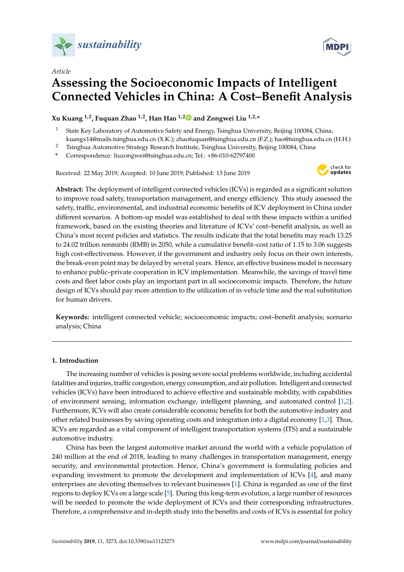



# **Assessing the Socioeconomic Impacts of Intelligent Connected Vehicles in China: A Cost–Benefit Analysis**

**Xu Kuang 1,2, Fuquan Zhao 1,2, Han Hao 1,[2](https://orcid.org/0000-0001-7542-4746) and Zongwei Liu 1,2,\***

- <sup>1</sup> State Key Laboratory of Automotive Safety and Energy, Tsinghua University, Beijing 100084, China; kuangx14@mails.tsinghua.edu.cn (X.K.); zhaofuquan@tsinghua.edu.cn (F.Z.); hao@tsinghua.edu.cn (H.H.)
- <sup>2</sup> Tsinghua Automotive Strategy Research Institute, Tsinghua University, Beijing 100084, China

**\*** Correspondence: liuzongwei@tsinghua.edu.cn; Tel.: +86-010-62797400

Received: 22 May 2019; Accepted: 10 June 2019; Published: 13 June 2019



**MDPI** 

**Abstract:** The deployment of intelligent connected vehicles (ICVs) is regarded as a significant solution to improve road safety, transportation management, and energy efficiency. This study assessed the safety, traffic, environmental, and industrial economic benefits of ICV deployment in China under different scenarios. A bottom-up model was established to deal with these impacts within a unified framework, based on the existing theories and literature of ICVs' cost–benefit analysis, as well as China's most recent policies and statistics. The results indicate that the total benefits may reach 13.25 to 24.02 trillion renminbi (RMB) in 2050, while a cumulative benefit–cost ratio of 1.15 to 3.06 suggests high cost-effectiveness. However, if the government and industry only focus on their own interests, the break-even point may be delayed by several years. Hence, an effective business model is necessary to enhance public–private cooperation in ICV implementation. Meanwhile, the savings of travel time costs and fleet labor costs play an important part in all socioeconomic impacts. Therefore, the future design of ICVs should pay more attention to the utilization of in-vehicle time and the real substitution for human drivers.

**Keywords:** intelligent connected vehicle; socioeconomic impacts; cost–benefit analysis; scenario analysis; China

### **1. Introduction**

The increasing number of vehicles is posing severe social problems worldwide, including accidental fatalities and injuries, traffic congestion, energy consumption, and air pollution. Intelligent and connected vehicles (ICVs) have been introduced to achieve effective and sustainable mobility, with capabilities of environment sensing, information exchange, intelligent planning, and automated control [\[1,](#page-23-0)[2\]](#page-23-1). Furthermore, ICVs will also create considerable economic benefits for both the automotive industry and other related businesses by saving operating costs and integration into a digital economy [\[1,](#page-23-0)[3\]](#page-23-2). Thus, ICVs are regarded as a vital component of intelligent transportation systems (ITS) and a sustainable automotive industry.

China has been the largest automotive market around the world with a vehicle population of 240 million at the end of 2018, leading to many challenges in transportation management, energy security, and environmental protection. Hence, China's government is formulating policies and expanding investment to promote the development and implementation of ICVs [\[4\]](#page-23-3), and many enterprises are devoting themselves to relevant businesses [\[1\]](#page-23-0). China is regarded as one of the first regions to deploy ICVs on a large scale [\[5\]](#page-23-4). During this long-term evolution, a large number of resources will be needed to promote the wide deployment of ICVs and their corresponding infrastructures. Therefore, a comprehensive and in-depth study into the benefits and costs of ICVs is essential for policy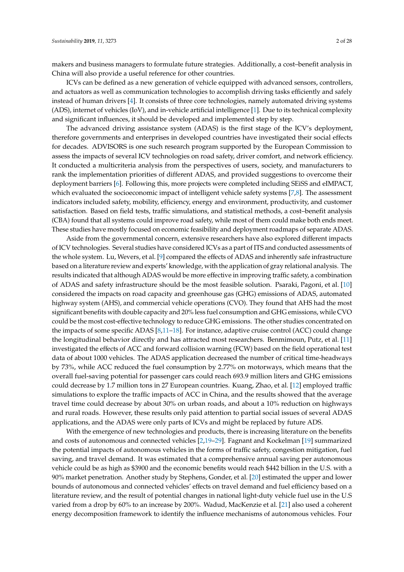makers and business managers to formulate future strategies. Additionally, a cost–benefit analysis in China will also provide a useful reference for other countries.

ICVs can be defined as a new generation of vehicle equipped with advanced sensors, controllers, and actuators as well as communication technologies to accomplish driving tasks efficiently and safely instead of human drivers [\[4\]](#page-23-3). It consists of three core technologies, namely automated driving systems (ADS), internet of vehicles (IoV), and in-vehicle artificial intelligence [\[1\]](#page-23-0). Due to its technical complexity and significant influences, it should be developed and implemented step by step.

The advanced driving assistance system (ADAS) is the first stage of the ICV's deployment, therefore governments and enterprises in developed countries have investigated their social effects for decades. ADVISORS is one such research program supported by the European Commission to assess the impacts of several ICV technologies on road safety, driver comfort, and network efficiency. It conducted a multicriteria analysis from the perspectives of users, society, and manufacturers to rank the implementation priorities of different ADAS, and provided suggestions to overcome their deployment barriers [\[6\]](#page-23-5). Following this, more projects were completed including SEiSS and eIMPACT, which evaluated the socioeconomic impact of intelligent vehicle safety systems [\[7,](#page-23-6)[8\]](#page-24-0). The assessment indicators included safety, mobility, efficiency, energy and environment, productivity, and customer satisfaction. Based on field tests, traffic simulations, and statistical methods, a cost–benefit analysis (CBA) found that all systems could improve road safety, while most of them could make both ends meet. These studies have mostly focused on economic feasibility and deployment roadmaps of separate ADAS.

Aside from the governmental concern, extensive researchers have also explored different impacts of ICV technologies. Several studies have considered ICVs as a part of ITS and conducted assessments of the whole system. Lu, Wevers, et al. [\[9\]](#page-24-1) compared the effects of ADAS and inherently safe infrastructure based on a literature review and experts' knowledge, with the application of gray relational analysis. The results indicated that although ADAS would be more effective in improving traffic safety, a combination of ADAS and safety infrastructure should be the most feasible solution. Psaraki, Pagoni, et al. [\[10\]](#page-24-2) considered the impacts on road capacity and greenhouse gas (GHG) emissions of ADAS, automated highway system (AHS), and commercial vehicle operations (CVO). They found that AHS had the most significant benefits with double capacity and 20% less fuel consumption and GHG emissions, while CVO could be the most cost-effective technology to reduce GHG emissions. The other studies concentrated on the impacts of some specific ADAS [\[8,](#page-24-0)[11–](#page-24-3)[18\]](#page-24-4). For instance, adaptive cruise control (ACC) could change the longitudinal behavior directly and has attracted most researchers. Benmimoun, Putz, et al. [\[11\]](#page-24-3) investigated the effects of ACC and forward collision warning (FCW) based on the field operational test data of about 1000 vehicles. The ADAS application decreased the number of critical time-headways by 73%, while ACC reduced the fuel consumption by 2.77% on motorways, which means that the overall fuel-saving potential for passenger cars could reach 693.9 million liters and GHG emissions could decrease by 1.7 million tons in 27 European countries. Kuang, Zhao, et al. [\[12\]](#page-24-5) employed traffic simulations to explore the traffic impacts of ACC in China, and the results showed that the average travel time could decrease by about 30% on urban roads, and about a 10% reduction on highways and rural roads. However, these results only paid attention to partial social issues of several ADAS applications, and the ADAS were only parts of ICVs and might be replaced by future ADS.

With the emergence of new technologies and products, there is increasing literature on the benefits and costs of autonomous and connected vehicles [\[2](#page-23-1)[,19–](#page-24-6)[29\]](#page-25-0). Fagnant and Kockelman [\[19\]](#page-24-6) summarized the potential impacts of autonomous vehicles in the forms of traffic safety, congestion mitigation, fuel saving, and travel demand. It was estimated that a comprehensive annual saving per autonomous vehicle could be as high as \$3900 and the economic benefits would reach \$442 billion in the U.S. with a 90% market penetration. Another study by Stephens, Gonder, et al. [\[20\]](#page-24-7) estimated the upper and lower bounds of autonomous and connected vehicles' effects on travel demand and fuel efficiency based on a literature review, and the result of potential changes in national light-duty vehicle fuel use in the U.S varied from a drop by 60% to an increase by 200%. Wadud, MacKenzie et al. [\[21\]](#page-24-8) also used a coherent energy decomposition framework to identify the influence mechanisms of autonomous vehicles. Four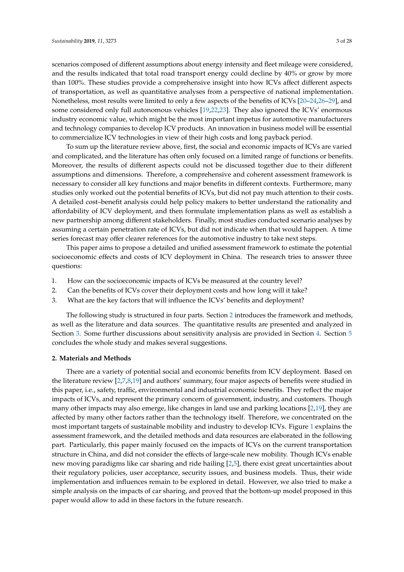scenarios composed of different assumptions about energy intensity and fleet mileage were considered, and the results indicated that total road transport energy could decline by 40% or grow by more than 100%. These studies provide a comprehensive insight into how ICVs affect different aspects of transportation, as well as quantitative analyses from a perspective of national implementation. Nonetheless, most results were limited to only a few aspects of the benefits of ICVs [\[20–](#page-24-7)[24,](#page-24-9)[26](#page-24-10)[–29\]](#page-25-0), and some considered only full autonomous vehicles [\[19](#page-24-6)[,22](#page-24-11)[,23\]](#page-24-12). They also ignored the ICVs' enormous industry economic value, which might be the most important impetus for automotive manufacturers and technology companies to develop ICV products. An innovation in business model will be essential to commercialize ICV technologies in view of their high costs and long payback period.

To sum up the literature review above, first, the social and economic impacts of ICVs are varied and complicated, and the literature has often only focused on a limited range of functions or benefits. Moreover, the results of different aspects could not be discussed together due to their different assumptions and dimensions. Therefore, a comprehensive and coherent assessment framework is necessary to consider all key functions and major benefits in different contexts. Furthermore, many studies only worked out the potential benefits of ICVs, but did not pay much attention to their costs. A detailed cost–benefit analysis could help policy makers to better understand the rationality and affordability of ICV deployment, and then formulate implementation plans as well as establish a new partnership among different stakeholders. Finally, most studies conducted scenario analyses by assuming a certain penetration rate of ICVs, but did not indicate when that would happen. A time series forecast may offer clearer references for the automotive industry to take next steps.

This paper aims to propose a detailed and unified assessment framework to estimate the potential socioeconomic effects and costs of ICV deployment in China. The research tries to answer three questions:

- 1. How can the socioeconomic impacts of ICVs be measured at the country level?
- 2. Can the benefits of ICVs cover their deployment costs and how long will it take?
- 3. What are the key factors that will influence the ICVs' benefits and deployment?

The following study is structured in four parts. Section [2](#page-2-0) introduces the framework and methods, as well as the literature and data sources. The quantitative results are presented and analyzed in Section [3.](#page-16-0) Some further discussions about sensitivity analysis are provided in Section [4.](#page-20-0) Section [5](#page-22-0) concludes the whole study and makes several suggestions.

#### <span id="page-2-0"></span>**2. Materials and Methods**

There are a variety of potential social and economic benefits from ICV deployment. Based on the literature review [\[2,](#page-23-1)[7,](#page-23-6)[8,](#page-24-0)[19\]](#page-24-6) and authors' summary, four major aspects of benefits were studied in this paper, i.e., safety, traffic, environmental and industrial economic benefits. They reflect the major impacts of ICVs, and represent the primary concern of government, industry, and customers. Though many other impacts may also emerge, like changes in land use and parking locations [\[2](#page-23-1)[,19\]](#page-24-6), they are affected by many other factors rather than the technology itself. Therefore, we concentrated on the most important targets of sustainable mobility and industry to develop ICVs. Figure [1](#page-3-0) explains the assessment framework, and the detailed methods and data resources are elaborated in the following part. Particularly, this paper mainly focused on the impacts of ICVs on the current transportation structure in China, and did not consider the effects of large-scale new mobility. Though ICVs enable new moving paradigms like car sharing and ride hailing [\[2](#page-23-1)[,5\]](#page-23-4), there exist great uncertainties about their regulatory policies, user acceptance, security issues, and business models. Thus, their wide implementation and influences remain to be explored in detail. However, we also tried to make a simple analysis on the impacts of car sharing, and proved that the bottom-up model proposed in this paper would allow to add in these factors in the future research.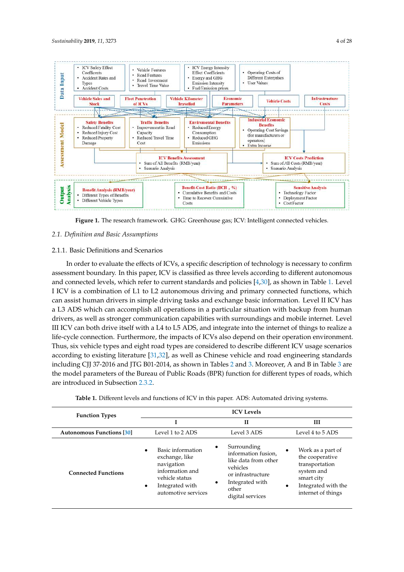<span id="page-3-0"></span>

**Figure 1.** The research framework. GHG: Greenhouse gas; ICV: Intelligent connected vehicles. **Figure 1.** The research framework. GHG: Greenhouse gas; ICV: Intelligent connected vehicles.

### *2.1. Definition and Basic Assumptions 2.1. Definition and Basic Assumptions*

## 2.1.1. Basic Definitions and Scenarios 2.1.1. Basic Definitions and Scenarios

In order to evaluate the effects of ICVs, a specific description of technology is necessary to In order to evaluate the effects of ICVs, a specific description of technology is necessary to confirm assessment boundary. In this paper, ICV is classified as three levels according to different autonomous<br> and connected levels, which refer to current standards and policies [\[4](#page-23-3)[,30\]](#page-25-1), as shown in Table [1.](#page-3-1) Level I ICV is a combination of L1 to L2 autonomous driving and primary connected functions, which can assist human drivers in simple driving tasks and exchange basic information. Level II ICV has a L3 ADS which can accomplish all operations in a particular situation with backup from human drivers, as well as stronger communication capabilities with surroundings and mobile internet. Level III ICV can both drive itself with a L4 to L5 ADS, and integrate into the internet of things to realize a life-cycle connection. Furthermore, the impacts of ICVs also depend on their operation environment.  $\overline{\phantom{a}}$ Thus, six vehicle types and eight road types are considered to describe different ICV usage scenarios according to existing literature [\[31,](#page-25-2)[32\]](#page-25-3), as well as Chinese vehicle and road engineering standards including CJJ 37-2016 and JTG [B0](#page-4-0)1-20[14](#page-4-1), as shown in Ta[ble](#page-4-1)s 2 and 3. Moreover, A and B in Table 3 are the model parameters of the Bureau of Public Roads (BPR) function for different types of roads, which are introduced in Subsection [2.3.2.](#page-10-0)

<span id="page-3-1"></span>

| <b>Function Types</b>            | <b>ICV</b> Levels                                                                                                                                          |                                                                                                                                                  |                                                                                                                                                           |  |  |  |
|----------------------------------|------------------------------------------------------------------------------------------------------------------------------------------------------------|--------------------------------------------------------------------------------------------------------------------------------------------------|-----------------------------------------------------------------------------------------------------------------------------------------------------------|--|--|--|
|                                  |                                                                                                                                                            | $\mathbf{H}$                                                                                                                                     | Ш                                                                                                                                                         |  |  |  |
| <b>Autonomous Functions</b> [30] | Level 1 to 2 ADS                                                                                                                                           | Level 3 ADS                                                                                                                                      | Level 4 to 5 ADS                                                                                                                                          |  |  |  |
| <b>Connected Functions</b>       | Basic information<br>$\bullet$<br>exchange, like<br>navigation<br>information and<br>vehicle status<br>Integrated with<br>$\bullet$<br>automotive services | Surrounding<br>information fusion,<br>like data from other<br>vehicles<br>or infrastructure<br>Integrated with<br>٠<br>other<br>digital services | Work as a part of<br>$\bullet$<br>the cooperative<br>transportation<br>system and<br>smart city<br>Integrated with the<br>$\bullet$<br>internet of things |  |  |  |

**Table 1.** Different levels and functions of ICV in this paper. ADS: Automated driving systems. **Table 1.** Different levels and functions of ICV in this paper. ADS: Automated driving systems.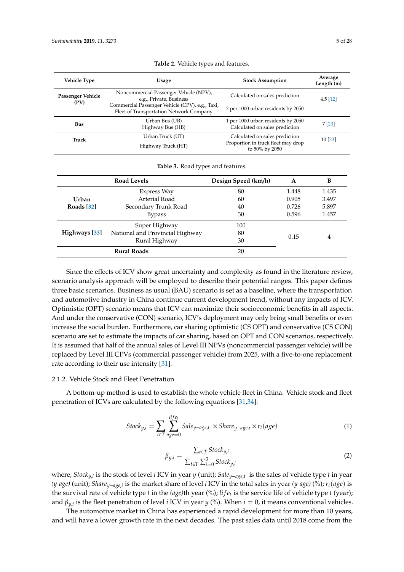<span id="page-4-0"></span>

| <b>Vehicle Type</b>       | Usage                                                                                      | <b>Stock Assumption</b>                                                                | Average<br>Length (m) |
|---------------------------|--------------------------------------------------------------------------------------------|----------------------------------------------------------------------------------------|-----------------------|
| Passenger Vehicle<br>(PV) | Noncommercial Passenger Vehicle (NPV),<br>e.g., Private, Business                          | Calculated on sales prediction                                                         | $4.5$ [12]            |
|                           | Commercial Passenger Vehicle (CPV), e.g., Taxi,<br>Fleet of Transportation Network Company | 2 per 1000 urban residents by 2050                                                     |                       |
| <b>Bus</b>                | Urban Bus (UB)<br>Highway Bus (HB)                                                         | 1 per 1000 urban residents by 2050<br>Calculated on sales prediction                   | 7 [23]                |
| Truck                     | Urban Truck (UT)<br>Highway Truck (HT)                                                     | Calculated on sales prediction<br>Proportion in truck fleet may drop<br>to 50% by 2050 | 10[23]                |
|                           |                                                                                            |                                                                                        |                       |

|  |  |  |  | Table 2. Vehicle types and features. |
|--|--|--|--|--------------------------------------|
|--|--|--|--|--------------------------------------|

|  |  |  |  | Table 3. Road types and features. |
|--|--|--|--|-----------------------------------|
|--|--|--|--|-----------------------------------|

<span id="page-4-1"></span>

|               | <b>Road Levels</b>              | Design Speed (km/h) | A     | в     |
|---------------|---------------------------------|---------------------|-------|-------|
|               | Express Way                     | 80                  | 1.448 | 1.435 |
| <b>Urban</b>  | Arterial Road                   | 60                  | 0.905 | 3.497 |
| Roads $[32]$  | Secondary Trunk Road            | 40                  | 0.726 | 5.897 |
|               | <b>Bypass</b>                   | 30                  | 0.596 | 1.457 |
|               | Super Highway                   | 100                 |       |       |
| Highways [33] | National and Provincial Highway | 80                  | 0.15  |       |
|               | Rural Highway                   | 30                  |       | 4     |
|               | <b>Rural Roads</b>              |                     |       |       |

Since the effects of ICV show great uncertainty and complexity as found in the literature review, scenario analysis approach will be employed to describe their potential ranges. This paper defines three basic scenarios. Business as usual (BAU) scenario is set as a baseline, where the transportation and automotive industry in China continue current development trend, without any impacts of ICV. Optimistic (OPT) scenario means that ICV can maximize their socioeconomic benefits in all aspects. And under the conservative (CON) scenario, ICV's deployment may only bring small benefits or even increase the social burden. Furthermore, car sharing optimistic (CS OPT) and conservative (CS CON) scenario are set to estimate the impacts of car sharing, based on OPT and CON scenarios, respectively. It is assumed that half of the annual sales of Level III NPVs (noncommercial passenger vehicle) will be replaced by Level III CPVs (commercial passenger vehicle) from 2025, with a five-to-one replacement rate according to their use intensity [\[31\]](#page-25-2).

#### 2.1.2. Vehicle Stock and Fleet Penetration

A bottom-up method is used to establish the whole vehicle fleet in China. Vehicle stock and fleet penetration of ICVs are calculated by the following equations [\[31](#page-25-2)[,34\]](#page-25-5):

$$
Stock_{y,i} = \sum_{t \in T} \sum_{age=0}^{life_t} Sale_{y-age,t} \times Shar_{y-age,i} \times r_t(age)
$$
 (1)

$$
\beta_{y,i} = \frac{\sum_{t \in T} Stock_{y,i}}{\sum_{t \in T} \sum_{i=0}^{3} Stock_{y,i}} \tag{2}
$$

where, *Stocky*,*<sup>i</sup>* is the stock of level *i* ICV in year *y* (unit); *Saley*−*age*,*<sup>t</sup>* is the sales of vehicle type *t* in year *(y-age)* (unit); *Share<sub>y−age,i*</sub> is the market share of level *i* ICV in the total sales in year (y-age) (%); *r*<sub>t</sub>(age) is the survival rate of vehicle type *t* in the *(age)*th year (%); *li f e<sup>t</sup>* is the service life of vehicle type *t* (year); and β*y*,*<sup>i</sup>* is the fleet penetration of level *i* ICV in year *y* (%). When *i* = 0, it means conventional vehicles.

The automotive market in China has experienced a rapid development for more than 10 years, and will have a lower growth rate in the next decades. The past sales data until 2018 come from the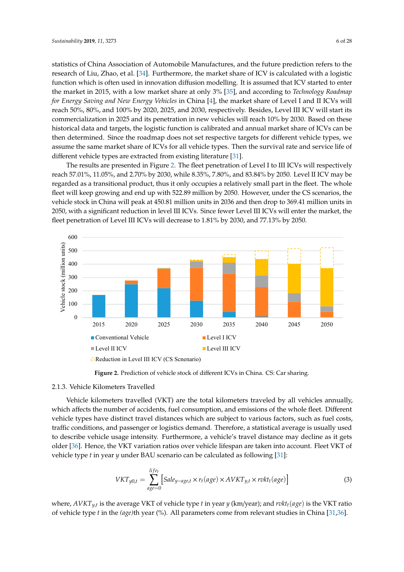statistics of China Association of Automobile Manufactures, and the future prediction refers to the research of Liu, Zhao, et al. [\[34\]](#page-25-5). Furthermore, the market share of ICV is calculated with a logistic function which is often used in innovation diffusion modelling. It is assumed that ICV started to enter the market in 2015, with a low market share at only 3% [\[35\]](#page-25-6), and according to *Technology Roadmap for Energy Saving and New Energy Vehicles* in China [\[4\]](#page-23-3), the market share of Level I and II ICVs will reach 50%, 80%, and 100% by 2020, 2025, and 2030, respectively. Besides, Level III ICV will start its commercialization in 2025 and its penetration in new vehicles will reach 10% by 2030. Based on these historical data and targets, the logistic function is calibrated and annual market share of ICVs can be then determined. Since the roadmap does not set respective targets for different vehicle types, we assume the same market share of ICVs for all vehicle types. Then the survival rate and service life of different vehicle types are extracted from existing literature [\[31\]](#page-25-2). statistics of China Association of Automobile manufactures, and the future prediction ferers to the

The results are presented in Figure [2.](#page-5-0) The fleet penetration of Level I to III ICVs will respectively reach 57.01%, 11.05%, and 2.70% by 2030, while 8.35%, 7.80%, and 83.84% by 2050. Level II ICV may be regarded as a transitional product, thus it only occupies a relatively small part in the fleet. The whole fleet will keep growing and end up with 522.89 million by 2050. However, under the CS scenarios, the vehicle stock in China will peak at 450.81 million units in 2036 and then drop to 369.41 million units in 2050, with a significant reduction in level III ICVs. Since fewer Level III ICVs will enter the market, the fleet penetration of Level III ICVs will decrease to 1.81% by 2030, and 77.13% by 2050.

<span id="page-5-0"></span>

**Figure 2.** Prediction of vehicle stock of different ICVs in China. CS: Car sharing.

#### 2.1.3. Vehicle Kilometers Travelled

Vehicle kilometers travelled (VKT) are the total kilometers traveled by all vehicles annually, which affects the number of accidents, fuel consumption, and emissions of the whole fleet. Different vehicle types have distinct travel distances which are subject to various factors, such as fuel costs, traffic conditions, and passenger or logistics demand. Therefore, a statistical average is usually used to describe vehicle usage intensity. Furthermore, a vehicle's travel distance may decline as it gets older [\[36\]](#page-25-7). Hence, the VKT variation ratios over vehicle lifespan are taken into account. Fleet VKT of vehicle type *t* in year *y* under BAU scenario can be calculated as following [\[31\]](#page-25-2):

$$
VKT_{y0,t} = \sum_{age=0}^{life_t} \left[ Sale_{y-age,t} \times r_t(age) \times AVKT_{y,t} \times r vkt_t(age) \right]
$$
 (3)

where, *AVKTy*,*<sup>t</sup>* is the average VKT of vehicle type *t* in year *y* (km/year); and *rvktt*(*age*) is the VKT ratio of vehicle type *t* in the *(age)*th year (%). All parameters come from relevant studies in China [\[31,](#page-25-2)[36\]](#page-25-7).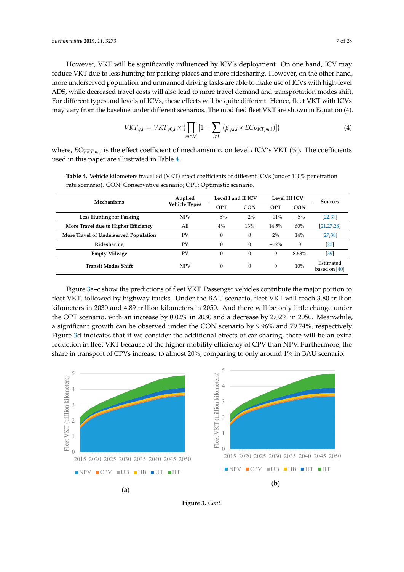However, VKT will be significantly influenced by ICV's deployment. On one hand, ICV may reduce VKT due to less hunting for parking places and more ridesharing. However, on the other hand, more underserved population and unmanned driving tasks are able to make use of ICVs with high-level ADS, while decreased travel costs will also lead to more travel demand and transportation modes shift. For different types and levels of ICVs, these effects will be quite different. Hence, fleet VKT with ICVs may vary from the baseline under different scenarios. The modified fleet VKT are shown in Equation (4).

$$
VKT_{y,t} = VKT_{y0,t} \times \{\prod_{m \in M} [1 + \sum_{i \in L} (\beta_{y,t,i} \times EC_{VKT,m,i})]\}\
$$
(4)

where, *ECVKT*,*m*,*<sup>i</sup>* is the effect coefficient of mechanism *m* on level *i* ICV's VKT (%). The coefficients used in this paper are illustrated in Table [4.](#page-6-0)

| Mechanisms                            | Applied              |            | Level I and II ICV |              | Level III ICV | <b>Sources</b>             |  |
|---------------------------------------|----------------------|------------|--------------------|--------------|---------------|----------------------------|--|
|                                       | <b>Vehicle Types</b> | <b>OPT</b> | <b>CON</b>         | <b>OPT</b>   | <b>CON</b>    |                            |  |
| <b>Less Hunting for Parking</b>       | <b>NPV</b>           | $-5%$      | $-2\%$             | $-11%$       | $-5\%$        | $[22, 37]$                 |  |
| More Travel due to Higher Efficiency  | All                  | 4%         | 13%                | 14.5%        | 60%           | [21, 27, 28]               |  |
| More Travel of Underserved Population | PV                   | $\theta$   | $\Omega$           | 2%           | 14%           | [27, 38]                   |  |
| Ridesharing                           | PV                   | $\Omega$   | 0                  | $-12%$       | $\Omega$      | $[22]$                     |  |
| <b>Empty Mileage</b>                  | PV                   | $\Omega$   | $\Omega$           | $\mathbf{0}$ | 8.68%         | $[39]$                     |  |
| <b>Transit Modes Shift</b>            | <b>NPV</b>           | $\Omega$   | $\Omega$           | $\Omega$     | 10%           | Estimated<br>based on [40] |  |

<span id="page-6-0"></span>**Table 4.** Vehicle kilometers travelled (VKT) effect coefficients of different ICVs (under 100% penetration rate scenario). CON: Conservative scenario; OPT: Optimistic scenario.

Figure [3a](#page-7-0)–c show the predictions of fleet VKT. Passenger vehicles contribute the major portion to fleet VKT, followed by highway trucks. Under the BAU scenario, fleet VKT will reach 3.80 trillion kilometers in 2030 and 4.89 trillion kilometers in 2050. And there will be only little change under the OPT scenario, with an increase by 0.02% in 2030 and a decrease by 2.02% in 2050. Meanwhile, a significant growth can be observed under the CON scenario by 9.96% and 79.74%, respectively. Figure [3d](#page-7-0) indicates that if we consider the additional effects of car sharing, there will be an extra reduction in fleet VKT because of the higher mobility efficiency of CPV than NPV. Furthermore, the share in transport of CPVs increase to almost 20%, comparing to only around 1% in BAU scenario.

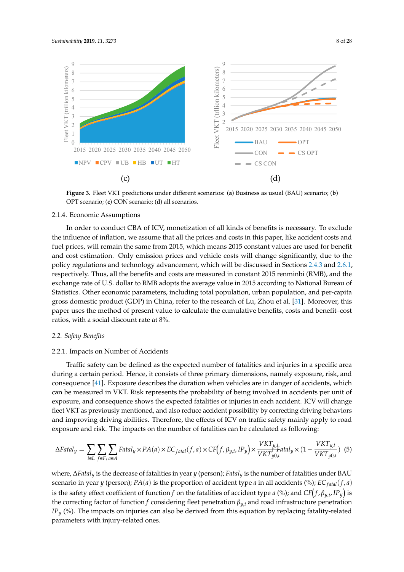<span id="page-7-0"></span>

Figure 3. Fleet VKT predictions under different scenarios: (a) Business as usual (BAU) scenario; (b) OPT scenario; (**c**) CON scenario; (**d**) all scenarios. OPT scenario; (**c**) CON scenario; (**d**) all scenarios.

### 2.1.4. Economic Assumptions 2.1.4. Economic Assumptions

In order to conduct CBA of ICV, monetization of all kinds of benefits is necessary. To exclude  $\frac{1}{2}$ the influence of inflation, we assume that all the prices and costs in this paper, like accident costs and  $\epsilon$ fuel prices, will remain the same from 2015, which means 2015 constant values are used for benefit and cost estimation. Only emission prices and vehicle costs will change significantly, due to the policy regulations and technology advancement, which will be discussed in Sections [2.4.3](#page-12-0) and [2.6.1,](#page-14-0) policy regulations and technology advancement, which will be discussed in Sections 2.4.3 and 2.6.1, respectively. Thus, all the benefits and costs are measured in constant 2015 renminbi (RMB), and the exchange rate of U.S. dollar to RMB adopts the average value in 2015 according to National Bureau of of Statistics. Other economic parameters, including total population, urban population, and per-Statistics. Other economic parameters, including total population, urban population, and per-capita gross domestic product (GDP) in China, refer to the research of Lu, Zhou et al. [\[31\]](#page-25-2). Moreover, this paper uses the method of present value to calculate the cumulative benefits, costs and benefit–cost ratios, with a social discount rate at 8%.

# *2.2. Safety Benefits 2.2. Safety Benefits*

#### 2.2.1. Impacts on Number of Accidents 2.2.1. Impacts on Number of Accidents

during a certain period. Hence, it consists of three primary dimensions, namely exposure, risk, and consequence [\[41\]](#page-25-13). Exposure describes the duration when vehicles are in danger of accidents, which can be measured in VKT. Risk represents the probability of being involved in accidents per unit of exposure, and consequence shows the expected fatalities or injuries in each accident. ICV will change Traffic safety can be defined as the expected number of fatalities and injuries in a specific area fleet VKT as previously mentioned, and also reduce accident possibility by correcting driving behaviors and improving driving abilities. Therefore, the effects of ICV on traffic safety mainly apply to road exposure and risk. The impacts on the number of fatalities can be calculated as following:

$$
\Delta Fatal_y = \sum_{i \in L} \sum_{f \in F_i} \sum_{a \in A} Fatal_y \times PA(a) \times EC_{fatal}(f,a) \times CF\left(f, \beta_{y,i}, IP_y\right) \times \frac{VKT_{y,t}}{VKT_{y0,t}} Fatal_y \times (1 - \frac{VKT_{y,t}}{VKT_{y0,t}}) \tag{5}
$$

where, ∆*Fatal<sup>y</sup>* is the decrease of fatalities in year *y* (person); *Fatal<sup>y</sup>* is the number of fatalities under BAU scenario in year *y* (person); *PA*(*a*) is the proportion of accident type *a* in all accidents (%);  $EC_{\text{fatal}}(f, a)$ is the safety effect coefficient of function *f* on the fatalities of accident type *a* (%); and  $CF(f, \beta_{y,i}, IP_y)$  is the correcting factor of function *f* considering fleet penetration  $\beta_{y,i}$  and road infrastructure penetration  $IP<sub>y</sub>$  (%). The impacts on injuries can also be derived from this equation by replacing fatality-related parameters with injury-related ones.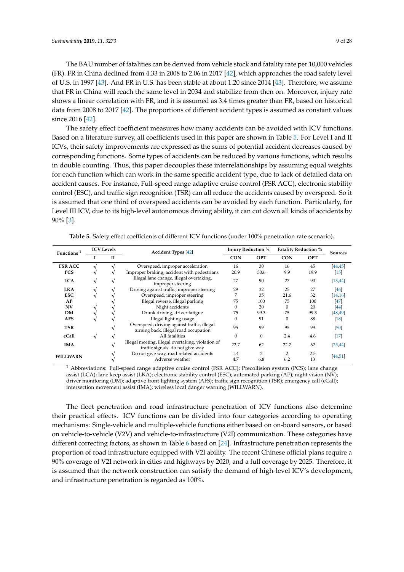The BAU number of fatalities can be derived from vehicle stock and fatality rate per 10,000 vehicles (FR). FR in China declined from 4.33 in 2008 to 2.06 in 2017 [\[42\]](#page-25-14), which approaches the road safety level of U.S. in 1997 [\[43\]](#page-25-15). And FR in U.S. has been stable at about 1.20 since 2014 [\[43\]](#page-25-15). Therefore, we assume that FR in China will reach the same level in 2034 and stabilize from then on. Moreover, injury rate shows a linear correlation with FR, and it is assumed as 3.4 times greater than FR, based on historical data from 2008 to 2017 [\[42\]](#page-25-14). The proportions of different accident types is assumed as constant values since 2016 [\[42\]](#page-25-14).

The safety effect coefficient measures how many accidents can be avoided with ICV functions. Based on a literature survey, all coefficients used in this paper are shown in Table [5.](#page-8-0) For Level I and II ICVs, their safety improvements are expressed as the sums of potential accident decreases caused by corresponding functions. Some types of accidents can be reduced by various functions, which results in double counting. Thus, this paper decouples these interrelationships by assuming equal weights for each function which can work in the same specific accident type, due to lack of detailed data on accident causes. For instance, Full-speed range adaptive cruise control (FSR ACC), electronic stability control (ESC), and traffic sign recognition (TSR) can all reduce the accidents caused by overspeed. So it is assumed that one third of overspeed accidents can be avoided by each function. Particularly, for Level III ICV, due to its high-level autonomous driving ability, it can cut down all kinds of accidents by 90% [\[3\]](#page-23-2).

<span id="page-8-0"></span>

| Functions <sup>1</sup> | <b>ICV</b> Levels |   | <b>Accident Types</b> [42]                                                            |            | <b>Injury Reduction %</b> | <b>Fatality Reduction %</b> |            | <b>Sources</b> |
|------------------------|-------------------|---|---------------------------------------------------------------------------------------|------------|---------------------------|-----------------------------|------------|----------------|
|                        |                   | П |                                                                                       | <b>CON</b> | <b>OPT</b>                | <b>CON</b>                  | <b>OPT</b> |                |
| <b>FSR ACC</b>         |                   |   | Overspeed, improper acceleration                                                      | 16         | 30                        | 16                          | 45         | [44, 45]       |
| <b>PCS</b>             |                   |   | Improper braking, accident with pedestrians                                           | 20.9       | 30.6                      | 9.9                         | 19.9       | $[15]$         |
| <b>LCA</b>             | $\sqrt{ }$        |   | Illegal lane change, illegal overtaking,<br>improper steering                         | 27         | 90                        | 27                          | 90         | [13, 44]       |
| <b>LKA</b>             |                   |   | Driving against traffic, improper steering                                            | 29         | 32                        | 25                          | 27         | [46]           |
| <b>ESC</b>             |                   |   | Overspeed, improper steering                                                          | 7          | 35                        | 21.6                        | 32         | [14, 16]       |
| AP                     |                   |   | Illegal reverse, illegal parking                                                      | 75         | 100                       | 75                          | 100        | [47]           |
| <b>NV</b>              |                   |   | Night accidents                                                                       | 0          | 20                        | $\Omega$                    | 20         | [44]           |
| <b>DM</b>              |                   |   | Drunk driving, driver fatigue                                                         | 75         | 99.3                      | 75                          | 99.3       | [48, 49]       |
| <b>AFS</b>             |                   |   | Illegal lighting usage                                                                | 0          | 91                        | $\Omega$                    | 88         | [18]           |
| <b>TSR</b>             |                   |   | Overspeed, driving against traffic, illegal<br>turning back, illegal road occupation  | 95         | 99                        | 95                          | 99         | [50]           |
| eCall                  | $\sqrt{ }$        |   | All fatalities                                                                        | 0          | $\mathbf{0}$              | 2.4                         | 4.6        | $[17]$         |
| <b>IMA</b>             |                   |   | Illegal meeting, illegal overtaking, violation of<br>traffic signals, do not give way | 22.7       | 62                        | 22.7                        | 62         | [25, 44]       |
| <b>WILLWARN</b>        |                   |   | Do not give way, road related accidents                                               | 1.4        | 2                         | 2                           | 2.5        | [44, 51]       |
|                        |                   |   | Adverse weather                                                                       | 4.7        | 6.8                       | 6.2                         | 13         |                |

**Table 5.** Safety effect coefficients of different ICV functions (under 100% penetration rate scenario).

<sup>1</sup> Abbreviations: Full-speed range adaptive cruise control (FSR ACC); Precollision system (PCS); lane change assist (LCA); lane keep assist (LKA); electronic stability control (ESC); automated parking (AP); night vision (NV); driver monitoring (DM); adaptive front-lighting system (AFS); traffic sign recognition (TSR); emergency call (eCall); intersection movement assist (IMA); wireless local danger warning (WILLWARN).

The fleet penetration and road infrastructure penetration of ICV functions also determine their practical effects. ICV functions can be divided into four categories according to operating mechanisms: Single-vehicle and multiple-vehicle functions either based on on-board sensors, or based on vehicle-to-vehicle (V2V) and vehicle-to-infrastructure (V2I) communication. These categories have different correcting factors, as shown in Table [6](#page-9-0) based on [\[24\]](#page-24-9). Infrastructure penetration represents the proportion of road infrastructure equipped with V2I ability. The recent Chinese official plans require a 90% coverage of V2I network in cities and highways by 2020, and a full coverage by 2025. Therefore, it is assumed that the network construction can satisfy the demand of high-level ICV's development, and infrastructure penetration is regarded as 100%.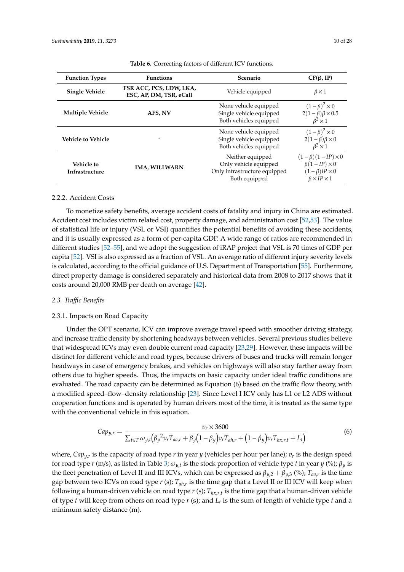<span id="page-9-0"></span>

| <b>Function Types</b>               | <b>Functions</b>                                   | <b>Scenario</b>                                                                            | $CF(\beta, IP)$                                                                                              |
|-------------------------------------|----------------------------------------------------|--------------------------------------------------------------------------------------------|--------------------------------------------------------------------------------------------------------------|
| <b>Single Vehicle</b>               | FSR ACC, PCS, LDW, LKA,<br>ESC, AP, DM, TSR, eCall | Vehicle equipped                                                                           | $\beta \times 1$                                                                                             |
| <b>Multiple Vehicle</b>             | AFS, NV                                            | None vehicle equipped<br>Single vehicle equipped<br>Both vehicles equipped                 | $(1-\beta)^2 \times 0$<br>$2(1-\beta)\beta \times 0.5$<br>$\beta^2 \times 1$                                 |
| Vehicle to Vehicle                  |                                                    | None vehicle equipped<br>Single vehicle equipped<br>Both vehicles equipped                 | $(1-\beta)^2 \times 0$<br>$2(1-\beta)\beta \times 0$<br>$\beta^2 \times 1$                                   |
| Vehicle to<br><b>Infrastructure</b> | <b>IMA, WILLWARN</b>                               | Neither equipped<br>Only vehicle equipped<br>Only infrastructure equipped<br>Both equipped | $(1-\beta)(1-IP)\times 0$<br>$\beta(1-IP)\times 0$<br>$(1 - \beta)IP \times 0$<br>$\beta \times IP \times 1$ |

#### **Table 6.** Correcting factors of different ICV functions.

#### 2.2.2. Accident Costs

To monetize safety benefits, average accident costs of fatality and injury in China are estimated. Accident cost includes victim related cost, property damage, and administration cost [\[52](#page-26-2)[,53\]](#page-26-3). The value of statistical life or injury (VSL or VSI) quantifies the potential benefits of avoiding these accidents, and it is usually expressed as a form of per-capita GDP. A wide range of ratios are recommended in different studies [\[52](#page-26-2)[–55\]](#page-26-4), and we adopt the suggestion of iRAP project that VSL is 70 times of GDP per capita [\[52\]](#page-26-2). VSI is also expressed as a fraction of VSL. An average ratio of different injury severity levels is calculated, according to the official guidance of U.S. Department of Transportation [\[55\]](#page-26-4). Furthermore, direct property damage is considered separately and historical data from 2008 to 2017 shows that it costs around 20,000 RMB per death on average [\[42\]](#page-25-14).

#### *2.3. Tra*ffi*c Benefits*

#### 2.3.1. Impacts on Road Capacity

Under the OPT scenario, ICV can improve average travel speed with smoother driving strategy, and increase traffic density by shortening headways between vehicles. Several previous studies believe that widespread ICVs may even double current road capacity [\[23,](#page-24-12)[29\]](#page-25-0). However, these impacts will be distinct for different vehicle and road types, because drivers of buses and trucks will remain longer headways in case of emergency brakes, and vehicles on highways will also stay farther away from others due to higher speeds. Thus, the impacts on basic capacity under ideal traffic conditions are evaluated. The road capacity can be determined as Equation (6) based on the traffic flow theory, with a modified speed–flow–density relationship [\[23\]](#page-24-12). Since Level I ICV only has L1 or L2 ADS without cooperation functions and is operated by human drivers most of the time, it is treated as the same type with the conventional vehicle in this equation.

$$
Cap_{y,r} = \frac{v_r \times 3600}{\sum_{t \in T} \omega_{y,t} (\beta_y^2 v_r T_{aa,r} + \beta_y (1 - \beta_y) v_r T_{ah,r} + (1 - \beta_y) v_r T_{hx,r,t} + L_t)}
$$
(6)

where, *Capy*,*<sup>r</sup>* is the capacity of road type *r* in year *y* (vehicles per hour per lane); *v<sup>r</sup>* is the design speed for road type *r* (m/s), as listed in Table [3;](#page-4-1) ω*y*,*<sup>t</sup>* is the stock proportion of vehicle type *t* in year *y* (%); β*<sup>y</sup>* is the fleet penetration of Level II and III ICVs, which can be expressed as  $\beta_{y,2} + \beta_{y,3}$  (%);  $T_{aa,r}$  is the time gap between two ICVs on road type *r* (s); *Tah*,*<sup>r</sup>* is the time gap that a Level II or III ICV will keep when following a human-driven vehicle on road type *r* (s); *Thx*,*r*,*<sup>t</sup>* is the time gap that a human-driven vehicle of type *t* will keep from others on road type *r* (s); and *L<sup>t</sup>* is the sum of length of vehicle type *t* and a minimum safety distance (m).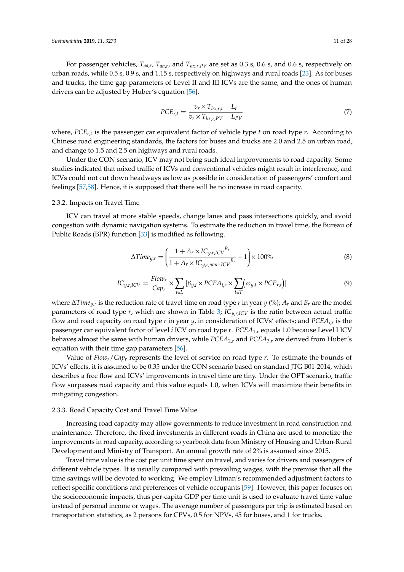For passenger vehicles, *Taa*,*<sup>r</sup>* , *Tah*,*<sup>r</sup>* , and *Thx*,*r*,*PV* are set as 0.3 s, 0.6 s, and 0.6 s, respectively on urban roads, while 0.5 s, 0.9 s, and 1.15 s, respectively on highways and rural roads [\[23\]](#page-24-12). As for buses and trucks, the time gap parameters of Level II and III ICVs are the same, and the ones of human drivers can be adjusted by Huber's equation [\[56\]](#page-26-5).

$$
PCE_{r,t} = \frac{v_r \times T_{hx,r,t} + L_t}{v_r \times T_{hx,r,PV} + L_{PV}}
$$
\n
$$
(7)
$$

where, *PCEr*,*<sup>t</sup>* is the passenger car equivalent factor of vehicle type *t* on road type *r*. According to Chinese road engineering standards, the factors for buses and trucks are 2.0 and 2.5 on urban road, and change to 1.5 and 2.5 on highways and rural roads.

Under the CON scenario, ICV may not bring such ideal improvements to road capacity. Some studies indicated that mixed traffic of ICVs and conventional vehicles might result in interference, and ICVs could not cut down headways as low as possible in consideration of passengers' comfort and feelings [\[57,](#page-26-6)[58\]](#page-26-7). Hence, it is supposed that there will be no increase in road capacity.

#### <span id="page-10-0"></span>2.3.2. Impacts on Travel Time

ICV can travel at more stable speeds, change lanes and pass intersections quickly, and avoid congestion with dynamic navigation systems. To estimate the reduction in travel time, the Bureau of Public Roads (BPR) function [\[33\]](#page-25-4) is modified as following.

$$
\Delta Time_{y,r} = \left(\frac{1 + A_r \times IC_{y,r,ICV}^{B_r}}{1 + A_r \times IC_{y,r,non-ICV}^{B_r}} - 1\right) \times 100\%
$$
\n(8)

$$
IC_{y,r,ICV} = \frac{Flow_r}{Cap_r} \times \sum_{i \in L} [\beta_{y,i} \times PCEA_{i,r} \times \sum_{t \in T} (\omega_{y,t} \times PCE_{r,t})]
$$
(9)

where ∆*Timey*,*<sup>r</sup>* is the reduction rate of travel time on road type *r* in year *y* (%); *A<sup>r</sup>* and *B<sup>r</sup>* are the model parameters of road type  $r$ , which are shown in Table [3;](#page-4-1)  $IC_{y,r,lCV}$  is the ratio between actual traffic flow and road capacity on road type *r* in year *y*, in consideration of ICVs' effects; and *PCEAi*,*<sup>r</sup>* is the passenger car equivalent factor of level *i* ICV on road type *r*. *PCEA*1,*<sup>r</sup>* equals 1.0 because Level I ICV behaves almost the same with human drivers, while *PCEA*2,*<sup>r</sup>* and *PCEA*3,*<sup>r</sup>* are derived from Huber's equation with their time gap parameters [\[56\]](#page-26-5).

Value of *Flowr*/*Cap<sup>r</sup>* represents the level of service on road type *r*. To estimate the bounds of ICVs' effects, it is assumed to be 0.35 under the CON scenario based on standard JTG B01-2014, which describes a free flow and ICVs' improvements in travel time are tiny. Under the OPT scenario, traffic flow surpasses road capacity and this value equals 1.0, when ICVs will maximize their benefits in mitigating congestion.

#### 2.3.3. Road Capacity Cost and Travel Time Value

Increasing road capacity may allow governments to reduce investment in road construction and maintenance. Therefore, the fixed investments in different roads in China are used to monetize the improvements in road capacity, according to yearbook data from Ministry of Housing and Urban-Rural Development and Ministry of Transport. An annual growth rate of 2% is assumed since 2015.

Travel time value is the cost per unit time spent on travel, and varies for drivers and passengers of different vehicle types. It is usually compared with prevailing wages, with the premise that all the time savings will be devoted to working. We employ Litman's recommended adjustment factors to reflect specific conditions and preferences of vehicle occupants [\[59\]](#page-26-8). However, this paper focuses on the socioeconomic impacts, thus per-capita GDP per time unit is used to evaluate travel time value instead of personal income or wages. The average number of passengers per trip is estimated based on transportation statistics, as 2 persons for CPVs, 0.5 for NPVs, 45 for buses, and 1 for trucks.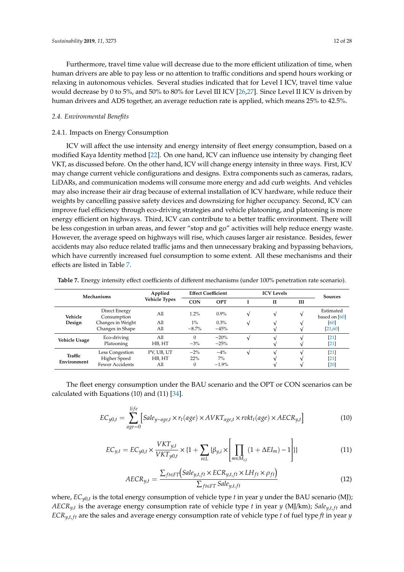Furthermore, travel time value will decrease due to the more efficient utilization of time, when human drivers are able to pay less or no attention to traffic conditions and spend hours working or relaxing in autonomous vehicles. Several studies indicated that for Level I ICV, travel time value would decrease by 0 to 5%, and 50% to 80% for Level III ICV [\[26,](#page-24-10)[27\]](#page-24-13). Since Level II ICV is driven by human drivers and ADS together, an average reduction rate is applied, which means 25% to 42.5%.

#### *2.4. Environmental Benefits*

#### 2.4.1. Impacts on Energy Consumption

ICV will affect the use intensity and energy intensity of fleet energy consumption, based on a modified Kaya Identity method [\[22\]](#page-24-11). On one hand, ICV can influence use intensity by changing fleet VKT, as discussed before. On the other hand, ICV will change energy intensity in three ways. First, ICV may change current vehicle configurations and designs. Extra components such as cameras, radars, LiDARs, and communication modems will consume more energy and add curb weights. And vehicles may also increase their air drag because of external installation of ICV hardware, while reduce their weights by cancelling passive safety devices and downsizing for higher occupancy. Second, ICV can improve fuel efficiency through eco-driving strategies and vehicle platooning, and platooning is more energy efficient on highways. Third, ICV can contribute to a better traffic environment. There will be less congestion in urban areas, and fewer "stop and go" activities will help reduce energy waste. However, the average speed on highways will rise, which causes larger air resistance. Besides, fewer accidents may also reduce related traffic jams and then unnecessary braking and bypassing behaviors, which have currently increased fuel consumption to some extent. All these mechanisms and their effects are listed in Table [7.](#page-11-0)

| <b>Mechanisms</b>    |                              | Applied<br><b>Vehicle Types</b> |              | <b>Effect Coefficient</b> | <b>ICV</b> Levels |              |   | <b>Sources</b>             |
|----------------------|------------------------------|---------------------------------|--------------|---------------------------|-------------------|--------------|---|----------------------------|
|                      |                              |                                 | <b>CON</b>   | OPT                       |                   | $\mathbf{H}$ | ш |                            |
| Vehicle              | Direct Energy<br>Consumption | All                             | 1.2%         | $0.9\%$                   | V                 | V            |   | Estimated<br>based on [60] |
| Design               | Changes in Weight            | All                             | $1\%$        | 0.3%                      | V                 |              |   | 60                         |
|                      | Changes in Shape             | All                             | $-8.7%$      | $-45%$                    |                   |              |   | [21, 60]                   |
| <b>Vehicle Usage</b> | Eco-driving                  | All                             | $\Omega$     | $-20%$                    |                   |              |   | $\left[21\right]$          |
|                      | Platooning                   | HB, HT                          | $-3%$        | $-25%$                    |                   |              |   | $[21]$                     |
| Traffic              | Less Congestion              | PV, UB, UT                      | $-2\%$       | $-4%$                     |                   |              |   | $[21]$                     |
| Environment          | Higher Speed                 | HB, HT                          | 22%          | $7\%$                     |                   |              |   | <b>21</b>                  |
|                      | Fewer Accidents              | All                             | $\mathbf{0}$ | $-1.9\%$                  |                   |              |   | $[20]$                     |

<span id="page-11-0"></span>**Table 7.** Energy intensity effect coefficients of different mechanisms (under 100% penetration rate scenario).

The fleet energy consumption under the BAU scenario and the OPT or CON scenarios can be calculated with Equations (10) and (11) [\[34\]](#page-25-5).

$$
EC_{y0,t} = \sum_{age=0}^{life} [Sale_{y-age,t} \times r_t(age) \times AVKT_{age,t} \times r vkt_t(age) \times AECR_{y,t}]
$$
 (10)

$$
EC_{y,t} = EC_{y0,t} \times \frac{VKT_{y,t}}{VKT_{y0,t}} \times \{1 + \sum_{i \in L} {\{\beta_{y,i} \times \left[ \prod_{m \in M_{i,t}} (1 + \Delta EI_m) - 1 \right] \}} \}
$$
(11)

$$
AECR_{y,t} = \frac{\sum_{f t \in FT} (Sale_{y,t,ft} \times ECR_{y,t,ft} \times LH_{ft} \times \rho_{ft})}{\sum_{f t \in FT} Sale_{y,t,ft}}
$$
(12)

where, *ECy*0,*<sup>t</sup>* is the total energy consumption of vehicle type *t* in year *y* under the BAU scenario (MJ); *AECRy*,*<sup>t</sup>* is the average energy consumption rate of vehicle type *t* in year *y* (MJ/km); *Saley*,*t*, *f t* and  $ECR_{y,t,ft}$  are the sales and average energy consumption rate of vehicle type *t* of fuel type *ft* in year *y*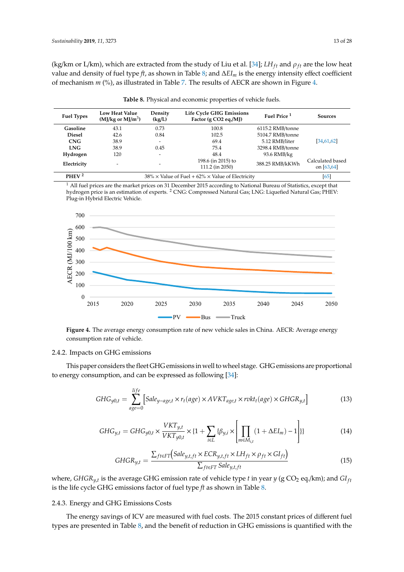(kg/km or L/km), which are extracted from the study of Liu et al. [\[34\]](#page-25-5);  $LH_{ft}$  and  $\rho_{ft}$  are the low heat value and density of fuel type *ft*, as shown in Table [8;](#page-12-1) and ∆*EI<sup>m</sup>* is the energy intensity effect coefficient of mechanism *m* (%), as illustrated in Table [7.](#page-11-0) The results of AECR are shown in Figure [4.](#page-12-2)

<span id="page-12-1"></span>

| <b>Fuel Types</b>                                                                    | <b>Low Heat Value</b><br>$(MJ/kg$ or $MJ/m3$ ) | Density<br>(kg/L)        | <b>Life Cycle GHG Emissions</b><br>Factor (g CO2 eq./MJ) | Fuel Price <sup>1</sup> | <b>Sources</b>                    |
|--------------------------------------------------------------------------------------|------------------------------------------------|--------------------------|----------------------------------------------------------|-------------------------|-----------------------------------|
| Gasoline                                                                             | 43.1                                           | 0.73                     | 100.8                                                    | 6115.2 RMB/tonne        |                                   |
| <b>Diesel</b>                                                                        | 42.6                                           | 0.84                     | 102.5                                                    | 5104.7 RMB/tonne        |                                   |
| CNG                                                                                  | 38.9                                           | -                        | 69.4                                                     | 5.12 RMB/liter          | [34, 61, 62]                      |
| <b>LNG</b>                                                                           | 38.9                                           | 0.45                     | 75.4                                                     | 3298.4 RMB/tonne        |                                   |
| Hydrogen                                                                             | 120                                            | $\overline{\phantom{0}}$ | 48.4                                                     | 93.6 RMB/kg             |                                   |
| Electricity                                                                          | $\overline{\phantom{a}}$                       |                          | 198.6 (in 2015) to<br>111.2 (in 2050)                    | 388.25 RMB/kKWh         | Calculated based<br>on $[63, 64]$ |
| PHEV <sup>2</sup><br>$38\% \times$ Value of Fuel + 62% $\times$ Value of Electricity |                                                |                          |                                                          | [65]                    |                                   |

**Table 8.** Physical and economic properties of vehicle fuels.

<sup>1</sup> All fuel prices are the market prices on 31 December 2015 according to National Bureau of Statistics, except that hydrogen price is an estimation of experts. <sup>2</sup> CNG: Compressed Natural Gas; LNG: Liquefied Natural Gas; PHEV: Plug-in Hybrid Electric Vehicle.

<span id="page-12-2"></span>

**Figure 4.** The average energy consumption rate of new vehicle sales in China. AECR: Average energy consumption rate of vehicle. **Figure 4.** The average energy consumption rate of new vehicle sales in China. AECR: Average energy

#### 2.4.2. Impacts on GHG emissions

This paper considers the fleet GHG emissions in well to wheel stage. GHG emissions are proportional to energy consumption, and can be expressed as following  $[34]$ :

$$
GHG_{y0,t} = \sum_{age=0}^{life} [Sale_{y-age,t} \times r_t(age) \times AVKT_{age,t} \times rvkt_t(age) \times GHGR_{y,t}]
$$
(13)

$$
GHG_{y,t} = GHG_{y0,t} \times \frac{VKT_{y,t}}{VKT_{y0,t}} \times \left\{1 + \sum_{i \in L} {\{\beta_{y,i} \times \left[\prod_{m \in M_{i,t}} (1 + \Delta EI_m) - 1\right]\}\right\}}
$$
(14)

$$
GHGR_{y,t} = \frac{\sum_{f t \in FT} (Sale_{y,t,ft} \times ECR_{y,t,ft} \times LH_{ft} \times \rho_{ft} \times GI_{ft})}{\sum_{f t \in FT} Sale_{y,t,ft}}
$$
(15)

where,  $GHGR_{y,t}$  is the average GHG emission rate of vehicle type t in year  $y$  (g CO<sub>2</sub> eq./km); and GI<sub>ft</sub> is the life cycle GHG emissions factor of fuel type  $ft$  as shown in Table 8.

### <span id="page-12-0"></span> $\overline{C}$ 2.4.3. Energy and GHG Emissions Costs

The energy savings of ICV are measured with fuel costs. The 2015 constant prices of different fuel types are presented in Table 8, and the benefit of reduction in GHG emissions is quantified with the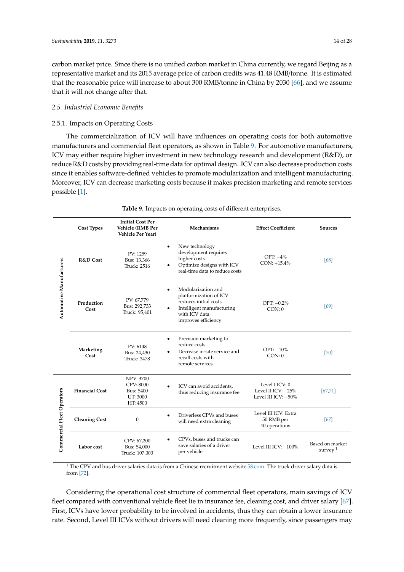carbon market price. Since there is no unified carbon market in China currently, we regard Beijing as a representative market and its 2015 average price of carbon credits was 41.48 RMB/tonne. It is estimated that the reasonable price will increase to about 300 RMB/tonne in China by 2030 [\[66\]](#page-26-15), and we assume that it will not change after that.

#### *2.5. Industrial Economic Benefits*

#### 2.5.1. Impacts on Operating Costs

The commercialization of ICV will have influences on operating costs for both automotive manufacturers and commercial fleet operators, as shown in Table [9.](#page-13-0) For automotive manufacturers, ICV may either require higher investment in new technology research and development (R&D), or reduce R&D costs by providing real-time data for optimal design. ICV can also decrease production costs since it enables software-defined vehicles to promote modularization and intelligent manufacturing. Moreover, ICV can decrease marketing costs because it makes precision marketing and remote services possible [\[1\]](#page-23-0).

<span id="page-13-0"></span>

|                            | <b>Cost Types</b>     | <b>Initial Cost Per</b><br><b>Vehicle (RMB Per</b><br><b>Vehicle Per Year)</b>   | Mechanisms                                                                                                                                                           | <b>Effect Coefficient</b>                                   | <b>Sources</b>                |
|----------------------------|-----------------------|----------------------------------------------------------------------------------|----------------------------------------------------------------------------------------------------------------------------------------------------------------------|-------------------------------------------------------------|-------------------------------|
| Automotive Manufacturers   | R&D Cost              | PV: 1259<br>Bus: 13,366<br><b>Truck: 2516</b>                                    | New technology<br>$\bullet$<br>development requires<br>higher costs<br>Optimize designs with ICV<br>$\bullet$<br>real-time data to reduce costs                      | OPT: $-4\%$<br>$CON: +15.4\%$                               | [68]                          |
|                            | Production<br>Cost    | PV: 67,779<br>Bus: 292,733<br>Truck: 95,401                                      | Modularization and<br>$\bullet$<br>platformization of ICV<br>reduces initial costs<br>Intelligent manufacturing<br>$\bullet$<br>with ICV data<br>improves efficiency | OPT: $-0.2\%$<br>CON: 0                                     | [69]                          |
|                            | Marketing<br>Cost     | PV: 6148<br>Bus: 24,430<br>Truck: 3478                                           | Precision marketing to<br>$\bullet$<br>reduce costs<br>Decrease in-site service and<br>recall costs with<br>remote services                                          | OPT: $-10\%$<br>CON: 0                                      | [70]                          |
|                            | <b>Financial Cost</b> | <b>NPV: 3700</b><br>CPV: 8000<br><b>Bus: 5400</b><br><b>UT: 3000</b><br>HT: 4500 | ICV can avoid accidents,<br>$\bullet$<br>thus reducing insurance fee                                                                                                 | Level I ICV: 0<br>Level II ICV: -25%<br>Level III ICV: -50% | [67, 71]                      |
| Commercial Fleet Operators | <b>Cleaning Cost</b>  | $\mathbf{0}$                                                                     | Driverless CPVs and buses<br>$\bullet$<br>will need extra cleaning                                                                                                   | Level III ICV: Extra<br>50 RMB per<br>40 operations         | [67]                          |
|                            | Labor cost            | CPV: 67,200<br>Bus: 54,000<br>Truck: 107,000                                     | CPVs, buses and trucks can<br>save salaries of a driver<br>per vehicle                                                                                               | Level III ICV: -100%                                        | Based on market<br>survey $1$ |

**Table 9.** Impacts on operating costs of different enterprises.

<sup>1</sup> The CPV and bus driver salaries data is from a Chinese recruitment website [58.com.](58.com) The truck driver salary data is from [\[72\]](#page-27-0).

Considering the operational cost structure of commercial fleet operators, main savings of ICV fleet compared with conventional vehicle fleet lie in insurance fee, cleaning cost, and driver salary [\[67\]](#page-26-19). First, ICVs have lower probability to be involved in accidents, thus they can obtain a lower insurance rate. Second, Level III ICVs without drivers will need cleaning more frequently, since passengers may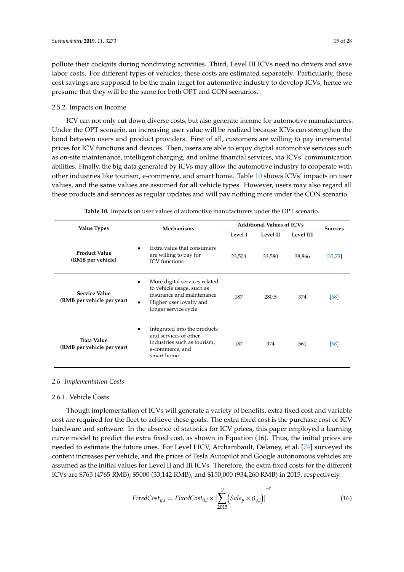pollute their cockpits during nondriving activities. Third, Level III ICVs need no drivers and save labor costs. For different types of vehicles, these costs are estimated separately. Particularly, these cost savings are supposed to be the main target for automotive industry to develop ICVs, hence we presume that they will be the same for both OPT and CON scenarios.

#### 2.5.2. Impacts on Income

ICV can not only cut down diverse costs, but also generate income for automotive manufacturers. Under the OPT scenario, an increasing user value will be realized because ICVs can strengthen the bond between users and product providers. First of all, customers are willing to pay incremental prices for ICV functions and devices. Then, users are able to enjoy digital automotive services such as on-site maintenance, intelligent charging, and online financial services, via ICVs' communication abilities. Finally, the big data generated by ICVs may allow the automotive industry to cooperate with other industries like tourism, e-commerce, and smart home. Table [10](#page-14-1) shows ICVs' impacts on user values, and the same values are assumed for all vehicle types. However, users may also regard all these products and services as regular updates and will pay nothing more under the CON scenario.

<span id="page-14-1"></span>

| <b>Value Types</b>                                 | <b>Mechanisms</b>                                                                                                                                       | <b>Additional Values of ICVs</b> | <b>Sources</b> |           |          |
|----------------------------------------------------|---------------------------------------------------------------------------------------------------------------------------------------------------------|----------------------------------|----------------|-----------|----------|
|                                                    |                                                                                                                                                         | Level I<br>Level II              |                | Level III |          |
| <b>Product Value</b><br>(RMB per vehicle)          | Extra value that consumers<br>٠<br>are willing to pay for<br><b>ICV</b> functions                                                                       | 23,504                           | 33,580         | 38,866    | [35, 73] |
| <b>Service Value</b><br>(RMB per vehicle per year) | More digital services related<br>to vehicle usage, such as<br>insurance and maintenance<br>Higher user loyalty and<br>$\bullet$<br>longer service cycle | 187                              | 280.5          | 374       | [68]     |
| Data Value<br>(RMB per vehicle per year)           | Integrated into the products<br>and services of other<br>industries such as tourism,<br>e-commerce, and<br>smart home                                   |                                  | 374            | 561       | [68]     |

**Table 10.** Impacts on user values of automotive manufacturers under the OPT scenario.

#### *2.6. Implementation Costs*

#### <span id="page-14-0"></span>2.6.1. Vehicle Costs

Though implementation of ICVs will generate a variety of benefits, extra fixed cost and variable cost are required for the fleet to achieve these goals. The extra fixed cost is the purchase cost of ICV hardware and software. In the absence of statistics for ICV prices, this paper employed a learning curve model to predict the extra fixed cost, as shown in Equation (16). Thus, the initial prices are needed to estimate the future ones. For Level I ICV, Archambault, Delaney, et al. [\[74\]](#page-27-2) surveyed its content increases per vehicle, and the prices of Tesla Autopilot and Google autonomous vehicles are assumed as the initial values for Level II and III ICVs. Therefore, the extra fixed costs for the different ICVs are \$765 (4765 RMB), \$5000 (33,142 RMB), and \$150,000 (934,260 RMB) in 2015, respectively.

$$
FixedCost_{y,i} = FixedCost_{0,i} \times [\sum_{2015}^{y} (Sale_y \times \beta_{y,i})]^{-r}
$$
\n(16)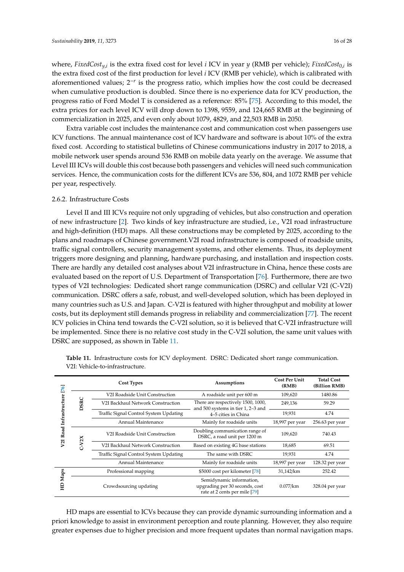where, *FixedCosty*,*<sup>i</sup>* is the extra fixed cost for level *i* ICV in year *y* (RMB per vehicle); *FixedCost*0,*<sup>i</sup>* is the extra fixed cost of the first production for level *i* ICV (RMB per vehicle), which is calibrated with aforementioned values; 2<sup>-*r*</sup> is the progress ratio, which implies how the cost could be decreased when cumulative production is doubled. Since there is no experience data for ICV production, the progress ratio of Ford Model T is considered as a reference: 85% [\[75\]](#page-27-3). According to this model, the extra prices for each level ICV will drop down to 1398, 9559, and 124,665 RMB at the beginning of commercialization in 2025, and even only about 1079, 4829, and 22,503 RMB in 2050.

Extra variable cost includes the maintenance cost and communication cost when passengers use ICV functions. The annual maintenance cost of ICV hardware and software is about 10% of the extra fixed cost. According to statistical bulletins of Chinese communications industry in 2017 to 2018, a mobile network user spends around 536 RMB on mobile data yearly on the average. We assume that Level III ICVs will double this cost because both passengers and vehicles will need such communication services. Hence, the communication costs for the different ICVs are 536, 804, and 1072 RMB per vehicle per year, respectively.

#### 2.6.2. Infrastructure Costs

Level II and III ICVs require not only upgrading of vehicles, but also construction and operation of new infrastructure [\[2\]](#page-23-1). Two kinds of key infrastructure are studied, i.e., V2I road infrastructure and high-definition (HD) maps. All these constructions may be completed by 2025, according to the plans and roadmaps of Chinese government.V2I road infrastructure is composed of roadside units, traffic signal controllers, security management systems, and other elements. Thus, its deployment triggers more designing and planning, hardware purchasing, and installation and inspection costs. There are hardly any detailed cost analyses about V2I infrastructure in China, hence these costs are evaluated based on the report of U.S. Department of Transportation [\[76\]](#page-27-4). Furthermore, there are two types of V2I technologies: Dedicated short range communication (DSRC) and cellular V2I (C-V2I) communication. DSRC offers a safe, robust, and well-developed solution, which has been deployed in many countries such as U.S. and Japan. C-V2I is featured with higher throughput and mobility at lower costs, but its deployment still demands progress in reliability and commercialization [\[77\]](#page-27-5). The recent ICV policies in China tend towards the C-V2I solution, so it is believed that C-V2I infrastructure will be implemented. Since there is no relative cost study in the C-V2I solution, the same unit values with DSRC are supposed, as shown in Table [11.](#page-15-0)

| [76]<br>Infrastructure<br>V2I Road | <b>Cost Types</b> |                                        | Assumptions                                                                                     | <b>Cost Per Unit</b><br>(RMB) | <b>Total Cost</b><br>(Billion RMB) |
|------------------------------------|-------------------|----------------------------------------|-------------------------------------------------------------------------------------------------|-------------------------------|------------------------------------|
|                                    | DSRC              | V2I Roadside Unit Construction         | A roadside unit per 600 m                                                                       | 109,620                       | 1480.86                            |
|                                    |                   | V2I Backhaul Network Construction      | There are respectively 1500, 1000,<br>and 500 systems in tier 1, 2-3 and<br>4-5 cities in China | 249,136                       | 59.29                              |
|                                    |                   | Traffic Signal Control System Updating |                                                                                                 | 19,931                        | 4.74                               |
|                                    |                   | Annual Maintenance                     | Mainly for roadside units                                                                       | 18,997 per year               | 256.63 per year                    |
|                                    | $C-V2X$           | V2I Roadside Unit Construction         | Doubling communication range of<br>DSRC, a road unit per 1200 m                                 | 109,620                       | 740.43                             |
|                                    |                   | V2I Backhaul Network Construction      | Based on existing 4G base stations                                                              | 18,685                        | 69.51                              |
|                                    |                   | Traffic Signal Control System Updating | The same with DSRC                                                                              | 19,931                        | 4.74                               |
|                                    |                   | Annual Maintenance                     | Mainly for roadside units                                                                       | 18,997 per year               | 128.32 per year                    |
| Maps<br>읖                          |                   | Professional mapping                   | \$5000 cost per kilometer [78]                                                                  | 31,142/km                     | 252.42                             |
|                                    |                   | Crowdsourcing updating                 | Semidynamic information,<br>upgrading per 30 seconds, cost<br>rate at 2 cents per mile [79]     | $0.077$ /km                   | 328.04 per year                    |

<span id="page-15-0"></span>**Table 11.** Infrastructure costs for ICV deployment. DSRC: Dedicated short range communication. V2I: Vehicle-to-infrastructure.

HD maps are essential to ICVs because they can provide dynamic surrounding information and a priori knowledge to assist in environment perception and route planning. However, they also require greater expenses due to higher precision and more frequent updates than normal navigation maps.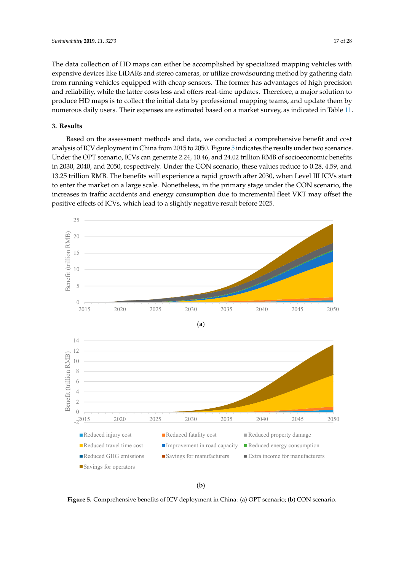The data collection of HD maps can either be accomplished by specialized mapping vehicles with expensive devices like LiDARs and stereo cameras, or utilize crowdsourcing method by gathering data from running vehicles equipped with cheap sensors. The former has advantages of high precision and reliability, while the latter costs less and offers real-time updates. Therefore, a major solution to produce HD maps is to collect the initial data by professional mapping teams, and update them by numerous daily users. Their expenses are estimated based on a market survey, as indicated in Table [11.](#page-15-0)

### <span id="page-16-0"></span>**3. Results**

Based on the assessment methods and data, we conducted a comprehensive benefit and cost analysis of ICV deployment in China from 2015 to 2050. Figure [5](#page-16-1) indicates the results under two scenarios. Under the OPT scenario, ICVs can generate 2.24, 10.46, and 24.02 trillion RMB of socioeconomic benefits in 2030, 2040, and 2050, respectively. Under the CON scenario, these values reduce to 0.28, 4.59, and 13.25 trillion RMB. The benefits will experience a rapid growth after 2030, when Level III ICVs start to enter the market on a large scale. Nonetheless, in the primary stage under the CON scenario, the increases in traffic accidents and energy consumption due to incremental fleet VKT may offset the positive effects of ICVs, which lead to a slightly negative result before 2025.

<span id="page-16-1"></span>

(**b**)

Figure 5. Comprehensive benefits of ICV deployment in China: (a) OPT scenario; (b) CON scenario.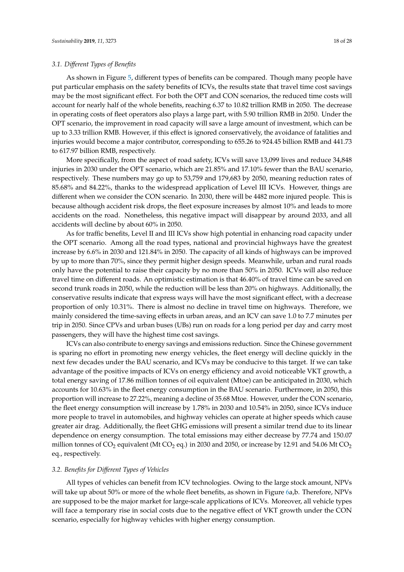#### *3.1. Di*ff*erent Types of Benefits*

As shown in Figure [5,](#page-16-1) different types of benefits can be compared. Though many people have put particular emphasis on the safety benefits of ICVs, the results state that travel time cost savings may be the most significant effect. For both the OPT and CON scenarios, the reduced time costs will account for nearly half of the whole benefits, reaching 6.37 to 10.82 trillion RMB in 2050. The decrease in operating costs of fleet operators also plays a large part, with 5.90 trillion RMB in 2050. Under the OPT scenario, the improvement in road capacity will save a large amount of investment, which can be up to 3.33 trillion RMB. However, if this effect is ignored conservatively, the avoidance of fatalities and injuries would become a major contributor, corresponding to 655.26 to 924.45 billion RMB and 441.73 to 617.97 billion RMB, respectively.

More specifically, from the aspect of road safety, ICVs will save 13,099 lives and reduce 34,848 injuries in 2030 under the OPT scenario, which are 21.85% and 17.10% fewer than the BAU scenario, respectively. These numbers may go up to 53,759 and 179,683 by 2050, meaning reduction rates of 85.68% and 84.22%, thanks to the widespread application of Level III ICVs. However, things are different when we consider the CON scenario. In 2030, there will be 4482 more injured people. This is because although accident risk drops, the fleet exposure increases by almost 10% and leads to more accidents on the road. Nonetheless, this negative impact will disappear by around 2033, and all accidents will decline by about 60% in 2050.

As for traffic benefits, Level II and III ICVs show high potential in enhancing road capacity under the OPT scenario. Among all the road types, national and provincial highways have the greatest increase by 6.6% in 2030 and 121.84% in 2050. The capacity of all kinds of highways can be improved by up to more than 70%, since they permit higher design speeds. Meanwhile, urban and rural roads only have the potential to raise their capacity by no more than 50% in 2050. ICVs will also reduce travel time on different roads. An optimistic estimation is that 46.40% of travel time can be saved on second trunk roads in 2050, while the reduction will be less than 20% on highways. Additionally, the conservative results indicate that express ways will have the most significant effect, with a decrease proportion of only 10.31%. There is almost no decline in travel time on highways. Therefore, we mainly considered the time-saving effects in urban areas, and an ICV can save 1.0 to 7.7 minutes per trip in 2050. Since CPVs and urban buses (UBs) run on roads for a long period per day and carry most passengers, they will have the highest time cost savings.

ICVs can also contribute to energy savings and emissions reduction. Since the Chinese government is sparing no effort in promoting new energy vehicles, the fleet energy will decline quickly in the next few decades under the BAU scenario, and ICVs may be conducive to this target. If we can take advantage of the positive impacts of ICVs on energy efficiency and avoid noticeable VKT growth, a total energy saving of 17.86 million tonnes of oil equivalent (Mtoe) can be anticipated in 2030, which accounts for 10.63% in the fleet energy consumption in the BAU scenario. Furthermore, in 2050, this proportion will increase to 27.22%, meaning a decline of 35.68 Mtoe. However, under the CON scenario, the fleet energy consumption will increase by 1.78% in 2030 and 10.54% in 2050, since ICVs induce more people to travel in automobiles, and highway vehicles can operate at higher speeds which cause greater air drag. Additionally, the fleet GHG emissions will present a similar trend due to its linear dependence on energy consumption. The total emissions may either decrease by 77.74 and 150.07 million tonnes of  $CO_2$  equivalent (Mt  $CO_2$  eq.) in 2030 and 2050, or increase by 12.91 and 54.06 Mt  $CO_2$ eq., respectively.

#### *3.2. Benefits for Di*ff*erent Types of Vehicles*

All types of vehicles can benefit from ICV technologies. Owing to the large stock amount, NPVs will take up about 50% or more of the whole fleet benefits, as shown in Figure [6a](#page-18-0),b. Therefore, NPVs are supposed to be the major market for large-scale applications of ICVs. Moreover, all vehicle types will face a temporary rise in social costs due to the negative effect of VKT growth under the CON scenario, especially for highway vehicles with higher energy consumption.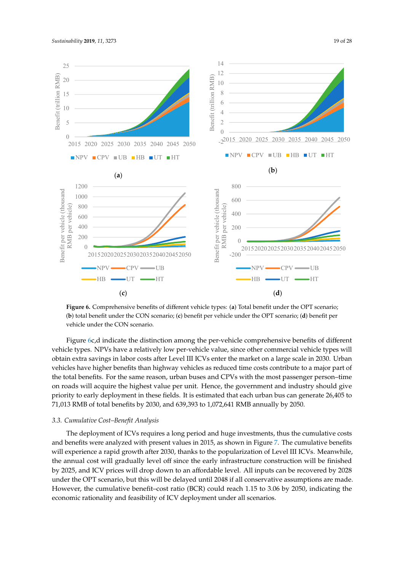<span id="page-18-0"></span>

Figure 6. Comprehensive benefits of different vehicle types: (a) Total benefit under the OPT scenario; (b) total benefit under the CON scenario; (c) benefit per vehicle under the OPT scenario; (d) benefit per vehicle under the CON scenario.

Figure 6c,d indicate the distinction among the per-vehicle comprehensive benefits of different Figure [6c](#page-18-0),d indicate the distinction among the per-vehicle comprehensive benefits of different vehicle types. NPVs have a relatively low per-vehicle value, since other commercial vehicle types will vehicle types. NPVs have a relatively low per-vehicle value, since other commercial vehicle types will obtain extra savings in labor costs after Level III ICVs enter the market on a large scale in 2030. Urban obtain extra savings in labor costs after Level III ICVs enter the market on a large scale in 2030. Urban vehicles have higher benefits than highway vehicles as reduced time costs contribute to a major part of of the total benefits. For the same reason, urban buses and CPVs with the most passenger person– the total benefits. For the same reason, urban buses and CPVs with the most passenger person–time on roads will acquire the highest value per unit. Hence, the government and industry should give priority to early deployment in these fields. It is estimated that each urban bus can generate 26,405 to<br> $F_1$  012 DMB 26,405 to 71,013 RMB of total benefits by 2030, and 639,393 to 1,072,641 RMB annually by 2050. 71,013 RMB of total benefits by 2030, and 639,393 to 1,072,641 RMB annually by 2050.

#### *3.3. Cumulative Cost–Benefit Analysis 3.3. Cumulative Cost–Benefit Analysis*

and benefits were analyzed with present values in 2015, as shown in Figure [7.](#page-19-0) The cumulative benefits will experience a rapid growth after 2030, thanks to the popularization of Level III ICVs. Meanwhile, the annual cost will gradually level off since the early infrastructure construction will be finished by 2025, and ICV prices will drop down to an affordable level. All inputs can be recovered by 2028 under the OPT scenario, but this will be delayed until 2048 if all conservative assumptions are made. However, the cumulative benefit-cost ratio (BCR) could reach 1.15 to 3.06 by 2050, indicating the economic rationality and feasibility of ICV deployment under all scenarios. The deployment of ICVs requires a long period and huge investments, thus the cumulative costs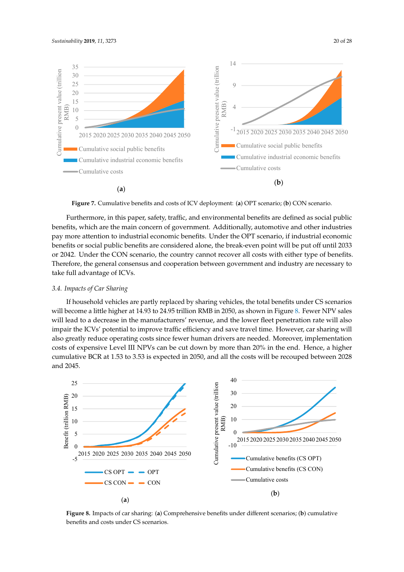<span id="page-19-0"></span>

Figure 7. Cumulative benefits and costs of ICV deployment: (a) OPT scenario; (b) CON scenario.

Furthermore, in this paper, safety, traffic, and environmental benefits are defined as social public benefits pay more attention to industrial economic benefits. Under the OPT scenario, if industrial economic benefits or social public benefits are considered alone, the break-even point will be put off until 2033 or 2042. Under the CON scenario, the country cannot recover all costs with either type of benefits.<br>Therefore, the general consensus and cooperation between government and industry are necessary to Therefore, the general consensus and cooperation between government and industry are necessary to take full advantage of ICVs. benefits, which are the main concern of government. Additionally, automotive and other industries  $m$ al cumulative and other matrice

#### implementation costs of expensive Level III  $\mathcal{L}$  and  $\mathcal{L}$  $\mathcal{L}$ . In pace, a fluxulative BCR at 1.53  $\mu$ *3.4. Impacts of Car Sharing 3.4. Impacts of Car Sharing*

If household vehicles are partly replaced by sharing vehicles, the total benefits under CS scenarios and 2045. cumulative BCR at 1.53 to 3.53 is expected in 2050, and all the costs will be recouped between 2028 and 2045. costs of expensive Level III NPVs can be cut down by more than 20% in the end. Hence, a higher impair the ICVs' potential to improve traffic efficiency and save travel time. However, car sharing will will lead to a decrease in the manufacturers' revenue, and the lower fleet penetration rate will also np<br>Isc<br>11<br>nd also greatly reduce operating costs since fewer human drivers are needed. Moreover, implementation will become a little higher at 14.93 to 24.95 trillion RMB in 2050, as shown in Figure [8.](#page-19-1) Fewer NPV sales cumulative present value of the present value of the sense of the present value of the sense of the sense of the sense of the sense of the sense of the sense of the sense of the sense of the sense of the sense of the sense

<span id="page-19-1"></span>

benefits and costs under CS scenarios. Figure 8. Impacts of car sharing: (a) Comprehensive benefits under different scenarios; (b) cumulative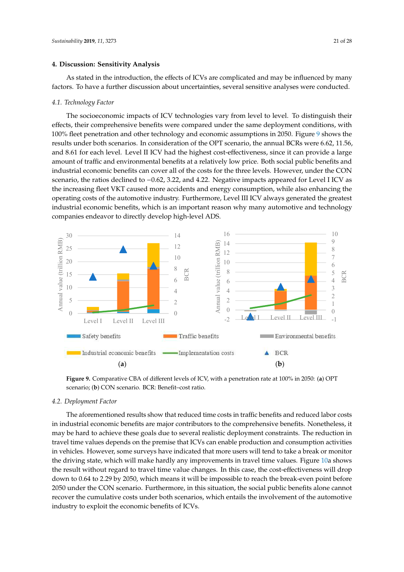#### <span id="page-20-0"></span>**4. Discussion: Sensitivity Analysis**

As stated in the introduction, the effects of ICVs are complicated and may be influenced by many factors. To have a further discussion about uncertainties, several sensitive analyses were conducted.

#### *4.1. Technology Factor*

The socioeconomic impacts of ICV technologies vary from level to level. To distinguish their effects, their comprehensive benefits were compared under the same deployment conditions, with 100% fleet penetration and other technology and economic assumptions in 2050. Figure [9](#page-20-1) shows the results under both scenarios. In consideration of the OPT scenario, the annual BCRs were 6.62, 11.56, results under both scenarios. In consideration of the OPT scenario, the annual BCRs were 6.62, 11.56, and 8.61 for each level. Level II ICV had the highest cost-effectiveness, since it can provide a large and 8.61 for each level. Level II ICV had the highest cost-effectiveness, since it can provide a large amount of traffic and environmental benefits at a relatively low price. Both social public benefits and amount of traffic and environmental benefits at a relatively low price. Both social public benefits and industrial economic benefits can cover all of the costs for the three levels. However, under the CON industrial economic benefits can cover all of the costs for the three levels. However, under the CON scenario, the ratios declined to −0.62, 3.22, and 4.22. Negative impacts appeared for Level I ICV as the increasing fleet VKT caused more accidents and energy consumption, while also enhancing the increasing fleet VKT caused more accidents and energy consumption, while also enhancing the operating costs of the automotive industry. Furthermore, Level III ICV always generated the greatest industrial economic benefits, which is an important reason why many automotive and technology operating costs of the automotive industry. Furthermore, Level III ICV always generated the greatest companies endeavor to directly develop high-level ADS.

<span id="page-20-1"></span>

Figure 9. Comparative CBA of different levels of ICV, with a penetration rate at 100% in 2050: (a) OPT scenario; (**b**) CON scenario. BCR: Benefit–cost ratio. scenario; (**b**) CON scenario. BCR: Benefit–cost ratio.

### *4.2. Deployment Factor 4.2. Deployment Factor*

The aforementioned results show that reduced time costs in traffic benefits and reduced labor in industrial economic benefits are major contributors to the comprehensive benefits. Nonetheless, it may be hard to achieve these goals due to several realistic deployment constraints. The reduction in travel time values depends on the premise that ICVs can enable production and consumption activities in vehicles. However, some surveys have indicated that more users will tend to take a break or monitor the driving state, which will make hardly any improvements in travel time values. Figure [10a](#page-21-0) shows the result without regard to travel time value changes. In this case, the cost-effectiveness will drop down to 0.64 to 2.29 by 2050, which means it will be impossible to reach the break-even point before 2050 under the CON scenario. Furthermore, in this situation, the social public benefits alone cannot recover the cumulative costs under both scenarios, which entails the involvement of the automotive industry to exploit the economic benefits of ICVs. The aforementioned results show that reduced time costs in traffic benefits and reduced labor costs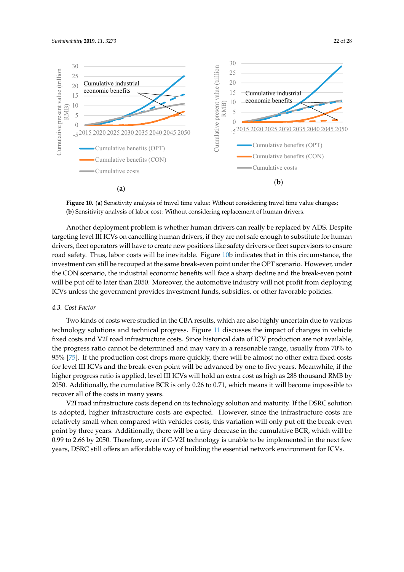<span id="page-21-0"></span>

Figure 10. (a) Sensitivity analysis of travel time value: Without considering travel time value changes; (**b**) Sensitivity analysis of labor cost: Without considering replacement of human drivers. (**b**) Sensitivity analysis of labor cost: Without considering replacement of human drivers.

Another deployment problem is whether human drivers can really be replaced by ADS. Despite Another deployment problem is whether human drivers can really be replaced by ADS. Despite targeting level III ICVs on cancelling human drivers, if they are not safe enough to substitute for targeting level III ICVs on cancelling human drivers, if they are not safe enough to substitute for human drivers, fleet operators will have to create new positions like safety drivers or fleet supervisors to ensure<br> $\frac{1}{2}$ road safety. Thus, labor costs will be inevitable. Figure [10b](#page-21-0) indicates that in this circumstance, the the CON scenario, the industrial economic benefits will face a sharp decline and the break-even point the CON scenario, the industrial economic benefits will face a sharp decline and the break-even point will be put off to later than 2050. Moreover, the automotive industry will not profit from deploying will be put off to later than 2050. Moreover, the automotive industry will not profit from deploying  $\alpha$  decline and the break-even point will be put of the put of the put of the put of the put of the put of the put of the automotive industry  $\alpha$ ICVs unless the government provides investment funds, subsidies, or other favorable policies. investment can still be recouped at the same break-even point under the OPT scenario. However, under

### other favorable policies. *4.3. Cost Factor*

technology solutions and technical progress. Figure [11](#page-22-1) discusses the impact of changes in vehicle fixed costs and V2I road infrastructure costs. Since historical data of ICV production are not available, the progress ratio cannot be determined and may vary in a reasonable range, usually from 70% to 95% [\[75\]](#page-27-3). If the production cost drops more quickly, there will be almost no other extra fixed costs for level III ICVs and the break-even point will be advanced by one to five years. Meanwhile, if the higher progress ratio is applied, level III ICVs will hold an extra cost as high as 288 thousand RMB by 2050. Additionally, the cumulative BCR is only 0.26 to 0.71, which means it will become impossible to recover all of the costs in many years. Two kinds of costs were studied in the CBA results, which are also highly uncertain due to various

V2I road infrastructure costs depend on its technology solution and maturity. If the DSRC solution is adopted, higher infrastructure costs are expected. However, since the infrastructure costs are relatively small when compared with vehicles costs, this variation will only put off the break-even point by three years. Additionally, there will be a tiny decrease in the cumulative BCR, which will be 0.99 to 2.66 by 2050. Therefore, even if C-V2I technology is unable to be implemented in the next few years, DSRC still offers an affordable way of building the essential network environment for ICVs.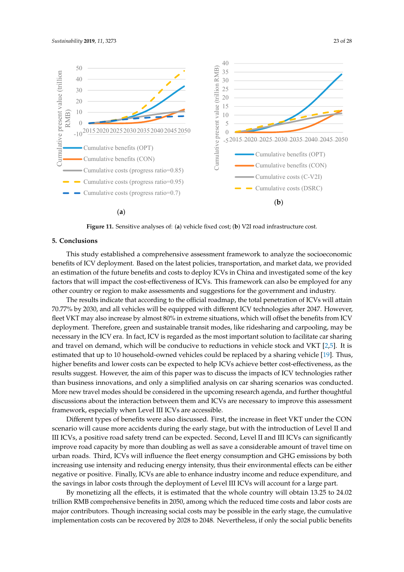<span id="page-22-1"></span>

Figure 11. Sensitive analyses of: (a) vehicle fixed cost; (b) V2I road infrastructure cost.

#### <span id="page-22-0"></span>VOII CURTUS INFRASTRUCTURE CONCLUSION SOLUTION AND MATURITY. IT THE DEPARTMENT ON IT THE DISTRIBUTION AND MATURITY. IT THE DEPARTMENT ON IT THE DEPARTMENT OF THE DISTRIBUTION ON IT THE DEPARTMENT OF THE DEPARTMENT OF THE D **5. Conclusions**

This study established a comprehensive assessment framework to analyze the socioeconomic benefits of ICV deployment. Based on the latest policies, transportation, and market data, we provided an estimation of the future benefits and costs to deploy ICVs in China and investigated some of the key factors that will impact the cost-effectiveness of ICVs. This framework can also be employed for any other country or region to make assessments and suggestions for the government and industry.

The results indicate that according to the official roadmap, the total penetration of ICVs will attain **5. Conclusions**  fleet VKT may also increase by almost 80% in extreme situations, which will offset the benefits from ICV 70.77% by 2030, and all vehicles will be equipped with different ICV technologies after 2047. However, deployment. Therefore, green and sustainable transit modes, like ridesharing and carpooling, may be necessary in the ICV era. In fact, ICV is regarded as the most important solution to facilitate car sharing and travel on demand, which will be conducive to reductions in vehicle stock and VKT [\[2,](#page-23-1)[5\]](#page-23-4). It is estimated that up to 10 household-owned vehicles could be replaced by a sharing vehicle [\[19\]](#page-24-6). Thus, higher benefits and lower costs can be expected to help ICVs achieve better cost-effectiveness, as the results suggest. However, the aim of this paper was to discuss the impacts of ICV technologies rather than business innovations, and only a simplified analysis on car sharing scenarios was conducted. More new travel modes should be considered in the upcoming research agenda, and further thoughtful discussions about the interaction between them and ICVs are necessary to improve this assessment framework, especially when Level III ICVs are accessible.

Different types of benefits were also discussed. First, the increase in fleet VKT under the CON scenario will cause more accidents during the early stage, but with the introduction of Level II and III ICVs, a positive road safety trend can be expected. Second, Level II and III ICVs can significantly improve road capacity by more than doubling as well as save a considerable amount of travel time on urban roads. Third, ICVs will influence the fleet energy consumption and GHG emissions by both increasing use intensity and reducing energy intensity, thus their environmental effects can be either negative or positive. Finally, ICVs are able to enhance industry income and reduce expenditure, and the savings in labor costs through the deployment of Level III ICVs will account for a large part.

By monetizing all the effects, it is estimated that the whole country will obtain 13.25 to 24.02 trillion RMB comprehensive benefits in 2050, among which the reduced time costs and labor costs are major contributors. Though increasing social costs may be possible in the early stage, the cumulative implementation costs can be recovered by 2028 to 2048. Nevertheless, if only the social public benefits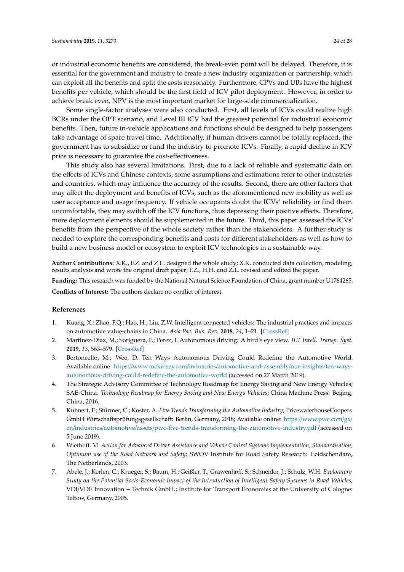or industrial economic benefits are considered, the break-even point will be delayed. Therefore, it is essential for the government and industry to create a new industry organization or partnership, which can exploit all the benefits and split the costs reasonably. Furthermore, CPVs and UBs have the highest benefits per vehicle, which should be the first field of ICV pilot deployment. However, in order to achieve break even, NPV is the most important market for large-scale commercialization.

Some single-factor analyses were also conducted. First, all levels of ICVs could realize high BCRs under the OPT scenario, and Level III ICV had the greatest potential for industrial economic benefits. Then, future in-vehicle applications and functions should be designed to help passengers take advantage of spare travel time. Additionally, if human drivers cannot be totally replaced, the government has to subsidize or fund the industry to promote ICVs. Finally, a rapid decline in ICV price is necessary to guarantee the cost-effectiveness.

This study also has several limitations. First, due to a lack of reliable and systematic data on the effects of ICVs and Chinese contexts, some assumptions and estimations refer to other industries and countries, which may influence the accuracy of the results. Second, there are other factors that may affect the deployment and benefits of ICVs, such as the aforementioned new mobility as well as user acceptance and usage frequency. If vehicle occupants doubt the ICVs' reliability or find them uncomfortable, they may switch off the ICV functions, thus depressing their positive effects. Therefore, more deployment elements should be supplemented in the future. Third, this paper assessed the ICVs' benefits from the perspective of the whole society rather than the stakeholders. A further study is needed to explore the corresponding benefits and costs for different stakeholders as well as how to build a new business model or ecosystem to exploit ICV technologies in a sustainable way.

**Author Contributions:** X.K., F.Z. and Z.L. designed the whole study; X.K. conducted data collection, modeling, results analysis and wrote the original draft paper; F.Z., H.H. and Z.L. revised and edited the paper.

**Funding:** This research was funded by the National Natural Science Foundation of China, grant number U1764265.

**Conflicts of Interest:** The authors declare no conflict of interest.

#### **References**

- <span id="page-23-0"></span>1. Kuang, X.; Zhao, F.Q.; Hao, H.; Liu, Z.W. Intelligent connected vehicles: The industrial practices and impacts on automotive value-chains in China. *Asia Pac. Bus. Rev.* **2018**, *24*, 1–21. [\[CrossRef\]](http://dx.doi.org/10.1080/13602381.2017.1340178)
- <span id="page-23-1"></span>2. Martinez-Diaz, M.; Soriguera, F.; Perez, I. Autonomous driving: A bird's eye view. *IET Intell. Transp. Syst.* **2019**, *13*, 563–579. [\[CrossRef\]](http://dx.doi.org/10.1049/iet-its.2018.5061)
- <span id="page-23-2"></span>3. Bertoncello, M.; Wee, D. Ten Ways Autonomous Driving Could Redefine the Automotive World. Available online: https://www.mckinsey.com/industries/[automotive-and-assembly](https://www.mckinsey.com/industries/automotive-and-assembly/our-insights/ten-ways-autonomous-driving-could-redefine-the-automotive-world)/our-insights/ten-ways[autonomous-driving-could-redefine-the-automotive-world](https://www.mckinsey.com/industries/automotive-and-assembly/our-insights/ten-ways-autonomous-driving-could-redefine-the-automotive-world) (accessed on 27 March 2019).
- <span id="page-23-3"></span>4. The Strategic Advisory Committee of Technology Roadmap for Energy Saving and New Energy Vehicles; SAE-China. *Technology Roadmap for Energy Saving and New Energy Vehicles*; China Machine Press: Beijing, China, 2016.
- <span id="page-23-4"></span>5. Kuhnert, F.; Stürmer, C.; Koster, A. *Five Trends Transforming the Automotive Industry*; PricewaterhouseCoopers GmbH Wirtschaftsprüfungsgesellschaft: Berlin, Germany, 2018; Available online: https://[www.pwc.com](https://www.pwc.com/gx/en/industries/automotive/assets/pwc-five-trends-transforming-the-automotive-industry.pdf)/gx/ en/industries/automotive/assets/[pwc-five-trends-transforming-the-automotive-industry.pdf](https://www.pwc.com/gx/en/industries/automotive/assets/pwc-five-trends-transforming-the-automotive-industry.pdf) (accessed on 5 June 2019).
- <span id="page-23-5"></span>6. Wiethoff, M. *Action for Advanced Driver Assistance and Vehicle Control Systems Implementation, Standardisation, Optimum use of the Road Network and Safety*; SWOV Institute for Road Safety Research: Leidschendam, The Netherlands, 2003.
- <span id="page-23-6"></span>7. Abele, J.; Kerlen, C.; Krueger, S.; Baum, H.; Geißler, T.; Grawenhoff, S.; Schneider, J.; Schulz, W.H. *Exploratory Study on the Potential Socio-Economic Impact of the Introduction of Intelligent Safety Systems in Road Vehicles*; VDI/VDE Innovation + Technik GmbH.; Institute for Transport Economics at the University of Cologne: Teltow, Germany, 2005.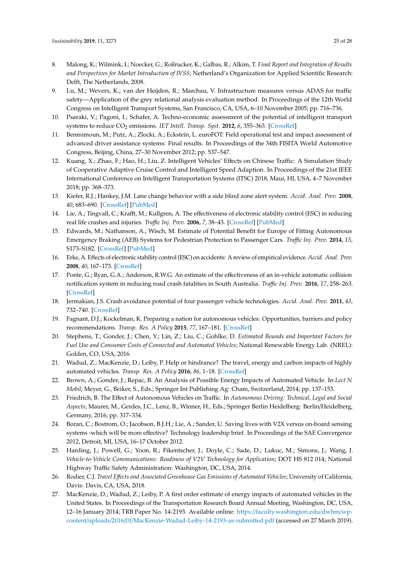- <span id="page-24-0"></span>8. Malong, K.; Wilmink, I.; Noecker, G.; Roßrucker, K.; Galbas, R.; Alkim, T. *Final Report and Integration of Results and Perspectives for Market Introduction of IVSS*; Netherland's Organization for Applied Scientific Research: Delft, The Netherlands, 2008.
- <span id="page-24-1"></span>9. Lu, M.; Wevers, K.; van der Heijden, R.; Marchau, V. Infrastructure measures versus ADAS for traffic safety—Application of the grey relational analysis evaluation method. In Proceedings of the 12th World Congress on Intelligent Transport Systems, San Francisco, CA, USA, 6–10 November 2005; pp. 716–736.
- <span id="page-24-2"></span>10. Psaraki, V.; Pagoni, I.; Schafer, A. Techno-economic assessment of the potential of intelligent transport systems to reduce CO<sub>2</sub> emissions. *IET Intell. Transp. Syst.* **2012**, *6*, 355–363. [\[CrossRef\]](http://dx.doi.org/10.1049/iet-its.2012.0056)
- <span id="page-24-3"></span>11. Benmimoun, M.; Putz, A.; Zlocki, A.; Eckstein, L. euroFOT: Field operational test and impact assessment of advanced driver assistance systems: Final results. In Proceedings of the 34th FISITA World Automotive Congress, Beijing, China, 27–30 November 2012; pp. 537–547.
- <span id="page-24-5"></span>12. Kuang, X.; Zhao, F.; Hao, H.; Liu, Z. Intelligent Vehicles' Effects on Chinese Traffic: A Simulation Study of Cooperative Adaptive Cruise Control and Intelligent Speed Adaption. In Proceedings of the 21st IEEE International Conference on Intelligent Transportation Systems (ITSC) 2018, Maui, HI, USA, 4–7 November 2018; pp. 368–373.
- <span id="page-24-15"></span>13. Kiefer, R.J.; Hankey, J.M. Lane change behavior with a side blind zone alert system. *Accid. Anal. Prev.* **2008**, *40*, 683–690. [\[CrossRef\]](http://dx.doi.org/10.1016/j.aap.2007.09.018) [\[PubMed\]](http://www.ncbi.nlm.nih.gov/pubmed/18329421)
- <span id="page-24-16"></span>14. Lie, A.; Tingvall, C.; Krafft, M.; Kullgren, A. The effectiveness of electronic stability control (ESC) in reducing real life crashes and injuries. *Tra*ffi*c Inj. Prev.* **2006**, *7*, 38–43. [\[CrossRef\]](http://dx.doi.org/10.1080/15389580500346838) [\[PubMed\]](http://www.ncbi.nlm.nih.gov/pubmed/16484031)
- <span id="page-24-14"></span>15. Edwards, M.; Nathanson, A.; Wisch, M. Estimate of Potential Benefit for Europe of Fitting Autonomous Emergency Braking (AEB) Systems for Pedestrian Protection to Passenger Cars. *Tra*ffi*c Inj. Prev.* **2014**, *15*, S173–S182. [\[CrossRef\]](http://dx.doi.org/10.1080/15389588.2014.931579) [\[PubMed\]](http://www.ncbi.nlm.nih.gov/pubmed/25307384)
- <span id="page-24-17"></span>16. Erke, A. Effects of electronic stability control (ESC) on accidents: A review of empirical evidence. *Accid. Anal. Prev.* **2008**, *40*, 167–173. [\[CrossRef\]](http://dx.doi.org/10.1016/j.aap.2007.05.002)
- <span id="page-24-18"></span>17. Ponte, G.; Ryan, G.A.; Anderson, R.W.G. An estimate of the effectiveness of an in-vehicle automatic collision notification system in reducing road crash fatalities in South Australia. *Tra*ffi*c Inj. Prev.* **2016**, *17*, 258–263. [\[CrossRef\]](http://dx.doi.org/10.1080/15389588.2015.1060556)
- <span id="page-24-4"></span>18. Jermakian, J.S. Crash avoidance potential of four passenger vehicle technologies. *Accid. Anal. Prev.* **2011**, *43*, 732–740. [\[CrossRef\]](http://dx.doi.org/10.1016/j.aap.2010.10.020)
- <span id="page-24-6"></span>19. Fagnant, D.J.; Kockelman, K. Preparing a nation for autonomous vehicles: Opportunities, barriers and policy recommendations. *Transp. Res. A Policy* **2015**, *77*, 167–181. [\[CrossRef\]](http://dx.doi.org/10.1016/j.tra.2015.04.003)
- <span id="page-24-7"></span>20. Stephens, T.; Gonder, J.; Chen, Y.; Lin, Z.; Liu, C.; Gohlke, D. *Estimated Bounds and Important Factors for Fuel Use and Consumer Costs of Connected and Automated Vehicles*; National Renewable Energy Lab. (NREL): Golden, CO, USA, 2016.
- <span id="page-24-8"></span>21. Wadud, Z.; MacKenzie, D.; Leiby, P. Help or hindrance? The travel, energy and carbon impacts of highly automated vehicles. *Transp. Res. A Policy* **2016**, *86*, 1–18. [\[CrossRef\]](http://dx.doi.org/10.1016/j.tra.2015.12.001)
- <span id="page-24-11"></span>22. Brown, A.; Gonder, J.; Repac, B. An Analysis of Possible Energy Impacts of Automated Vehicle. In *Lect N Mobil*; Meyer, G., Beiker, S., Eds.; Springer Int Publishing Ag: Cham, Switzerland, 2014; pp. 137–153.
- <span id="page-24-12"></span>23. Friedrich, B. The Effect of Autonomous Vehicles on Traffic. In *Autonomous Driving: Technical, Legal and Social Aspects*; Maurer, M., Gerdes, J.C., Lenz, B., Winner, H., Eds.; Springer Berlin Heidelberg: Berlin/Heidelberg, Germany, 2016; pp. 317–334.
- <span id="page-24-9"></span>24. Boran, C.; Bostrom, O.; Jacobson, B.J.H.; Lie, A.; Sander, U. Saving lives with V2X versus on-board sensing systems -which will be more effective? Technology leadership brief. In Proceedings of the SAE Convergence 2012, Detroit, MI, USA, 16–17 October 2012.
- <span id="page-24-19"></span>25. Harding, J.; Powell, G.; Yoon, R.; Fikentscher, J.; Doyle, C.; Sade, D.; Lukuc, M.; Simons, J.; Wang, J. *Vehicle-to-Vehicle Communications: Readiness of V2V Technology for Application*; DOT HS 812 014; National Highway Traffic Safety Administration: Washington, DC, USA, 2014.
- <span id="page-24-10"></span>26. Rodier, C.J. *Travel E*ff*ects and Associated Greenhouse Gas Emissions of Automated Vehicles*; University of California, Davis: Davis, CA, USA, 2018.
- <span id="page-24-13"></span>27. MacKenzie, D.; Wadud, Z.; Leiby, P. A first order estimate of energy impacts of automated vehicles in the United States. In Proceedings of the Transportation Research Board Annual Meeting, Washington, DC, USA, 12–16 January 2014; TRB Paper No. 14-2193. Available online: https://[faculty.washington.edu](https://faculty.washington.edu/dwhm/wp-content/uploads/2016/01/MacKenzie-Wadud-Leiby-14-2193-as-submitted.pdf)/dwhm/wpcontent/uploads/2016/01/[MacKenzie-Wadud-Leiby-14-2193-as-submitted.pdf](https://faculty.washington.edu/dwhm/wp-content/uploads/2016/01/MacKenzie-Wadud-Leiby-14-2193-as-submitted.pdf) (accessed on 27 March 2019).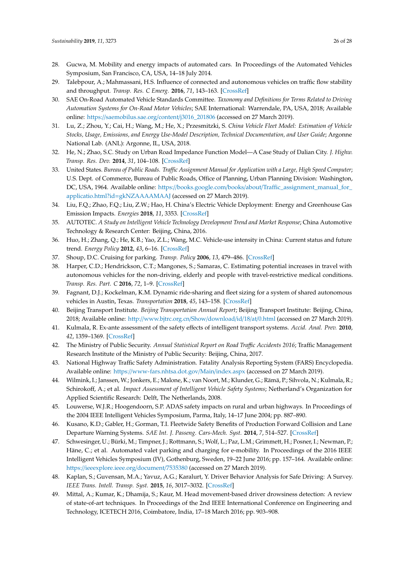- <span id="page-25-9"></span>28. Gucwa, M. Mobility and energy impacts of automated cars. In Proceedings of the Automated Vehicles Symposium, San Francisco, CA, USA, 14–18 July 2014.
- <span id="page-25-0"></span>29. Talebpour, A.; Mahmassani, H.S. Influence of connected and autonomous vehicles on traffic flow stability and throughput. *Transp. Res. C Emerg.* **2016**, *71*, 143–163. [\[CrossRef\]](http://dx.doi.org/10.1016/j.trc.2016.07.007)
- <span id="page-25-1"></span>30. SAE On-Road Automated Vehicle Standards Committee. *Taxonomy and Definitions for Terms Related to Driving Automation Systems for On-Road Motor Vehicles*; SAE International: Warrendale, PA, USA, 2018; Available online: https://[saemobilus.sae.org](https://saemobilus.sae.org/content/j3016_201806)/content/j3016\_201806 (accessed on 27 March 2019).
- <span id="page-25-2"></span>31. Lu, Z.; Zhou, Y.; Cai, H.; Wang, M.; He, X.; Przesmitzki, S. *China Vehicle Fleet Model: Estimation of Vehicle Stocks, Usage, Emissions, and Energy Use-Model Description, Technical Documentation, and User Guide*; Argonne National Lab. (ANL): Argonne, IL, USA, 2018.
- <span id="page-25-3"></span>32. He, N.; Zhao, S.C. Study on Urban Road Impedance Function Model—A Case Study of Dalian City. *J. Highw. Transp. Res. Dev.* **2014**, *31*, 104–108. [\[CrossRef\]](http://dx.doi.org/10.3969/j.issn.1002-0268.2014.02.018)
- <span id="page-25-4"></span>33. United States. *Bureau of Public Roads. Traffic Assignment Manual for Application with a Large, High Speed Computer*; U.S. Dept. of Commerce, Bureau of Public Roads, Office of Planning, Urban Planning Division: Washington, DC, USA, 1964. Available online: https://books.google.com/books/about/[Traffic\\_assignment\\_manual\\_for\\_](https://books.google.com/books/about/ Traffic_assignment_manual_for_applicatio.html?id=gkNZAAAAMAAJ) applicatio.html?id=[gkNZAAAAMAAJ](https://books.google.com/books/about/ Traffic_assignment_manual_for_applicatio.html?id=gkNZAAAAMAAJ) (accessed on 27 March 2019).
- <span id="page-25-5"></span>34. Liu, F.Q.; Zhao, F.Q.; Liu, Z.W.; Hao, H. China's Electric Vehicle Deployment: Energy and Greenhouse Gas Emission Impacts. *Energies* **2018**, *11*, 3353. [\[CrossRef\]](http://dx.doi.org/10.3390/en11123353)
- <span id="page-25-6"></span>35. AUTOTEC. *A Study on Intelligent Vehicle Technology Development Trend and Market Response*; China Automotive Technology & Research Center: Beijing, China, 2016.
- <span id="page-25-7"></span>36. Huo, H.; Zhang, Q.; He, K.B.; Yao, Z.L.; Wang, M.C. Vehicle-use intensity in China: Current status and future trend. *Energy Policy* **2012**, *43*, 6–16. [\[CrossRef\]](http://dx.doi.org/10.1016/j.enpol.2011.09.019)
- <span id="page-25-8"></span>37. Shoup, D.C. Cruising for parking. *Transp. Policy* **2006**, *13*, 479–486. [\[CrossRef\]](http://dx.doi.org/10.1016/j.tranpol.2006.05.005)
- <span id="page-25-10"></span>38. Harper, C.D.; Hendrickson, C.T.; Mangones, S.; Samaras, C. Estimating potential increases in travel with autonomous vehicles for the non-driving, elderly and people with travel-restrictive medical conditions. *Transp. Res. Part. C* **2016**, *72*, 1–9. [\[CrossRef\]](http://dx.doi.org/10.1016/j.trc.2016.09.003)
- <span id="page-25-11"></span>39. Fagnant, D.J.; Kockelman, K.M. Dynamic ride-sharing and fleet sizing for a system of shared autonomous vehicles in Austin, Texas. *Transportation* **2018**, *45*, 143–158. [\[CrossRef\]](http://dx.doi.org/10.1007/s11116-016-9729-z)
- <span id="page-25-12"></span>40. Beijing Transport Institute. *Beijing Transportation Annual Report*; Beijing Transport Institute: Beijing, China, 2018; Available online: http://[www.bjtrc.org.cn](http://www.bjtrc.org.cn/Show/download/id/18/at/0.html)/Show/download/id/18/at/0.html (accessed on 27 March 2019).
- <span id="page-25-13"></span>41. Kulmala, R. Ex-ante assessment of the safety effects of intelligent transport systems. *Accid. Anal. Prev.* **2010**, *42*, 1359–1369. [\[CrossRef\]](http://dx.doi.org/10.1016/j.aap.2010.03.001)
- <span id="page-25-14"></span>42. The Ministry of Public Security. *Annual Statistical Report on Road Tra*ffi*c Accidents 2016*; Traffic Management Research Institute of the Ministry of Public Security: Beijing, China, 2017.
- <span id="page-25-15"></span>43. National Highway Traffic Safety Administration. Fatality Analysis Reporting System (FARS) Encyclopedia. Available online: https://[www-fars.nhtsa.dot.gov](https://www-fars.nhtsa.dot.gov/Main/index.aspx)/Main/index.aspx (accessed on 27 March 2019).
- <span id="page-25-16"></span>44. Wilmink, I.; Janssen, W.; Jonkers, E.; Malone, K.; van Noort, M.; Klunder, G.; Rämä, P.; Sihvola, N.; Kulmala, R.; Schirokoff, A.; et al. *Impact Assessment of Intelligent Vehicle Safety Systems*; Netherland's Organization for Applied Scientific Research: Delft, The Netherlands, 2008.
- <span id="page-25-17"></span>45. Louwerse, W.J.R.; Hoogendoorn, S.P. ADAS safety impacts on rural and urban highways. In Proceedings of the 2004 IEEE Intelligent Vehicles Symposium, Parma, Italy, 14–17 June 2004; pp. 887–890.
- <span id="page-25-18"></span>46. Kusano, K.D.; Gabler, H.; Gorman, T.I. Fleetwide Safety Benefits of Production Forward Collision and Lane Departure Warning Systems. *SAE Int. J. Passeng. Cars-Mech. Syst.* **2014**, *7*, 514–527. [\[CrossRef\]](http://dx.doi.org/10.4271/2014-01-0166)
- <span id="page-25-19"></span>47. Schwesinger, U.; Bürki, M.; Timpner, J.; Rottmann, S.; Wolf, L.; Paz, L.M.; Grimmett, H.; Posner, I.; Newman, P.; Häne, C.; et al. Automated valet parking and charging for e-mobility. In Proceedings of the 2016 IEEE Intelligent Vehicles Symposium (IV), Gothenburg, Sweden, 19–22 June 2016; pp. 157–164. Available online: https://[ieeexplore.ieee.org](https://ieeexplore.ieee.org/document/7535380)/document/7535380 (accessed on 27 March 2019).
- <span id="page-25-20"></span>48. Kaplan, S.; Guvensan, M.A.; Yavuz, A.G.; Karalurt, Y. Driver Behavior Analysis for Safe Driving: A Survey. *IEEE Trans. Intell. Transp. Syst.* **2015**, *16*, 3017–3032. [\[CrossRef\]](http://dx.doi.org/10.1109/TITS.2015.2462084)
- <span id="page-25-21"></span>49. Mittal, A.; Kumar, K.; Dhamija, S.; Kaur, M. Head movement-based driver drowsiness detection: A review of state-of-art techniques. In Proceedings of the 2nd IEEE International Conference on Engineering and Technology, ICETECH 2016, Coimbatore, India, 17–18 March 2016; pp. 903–908.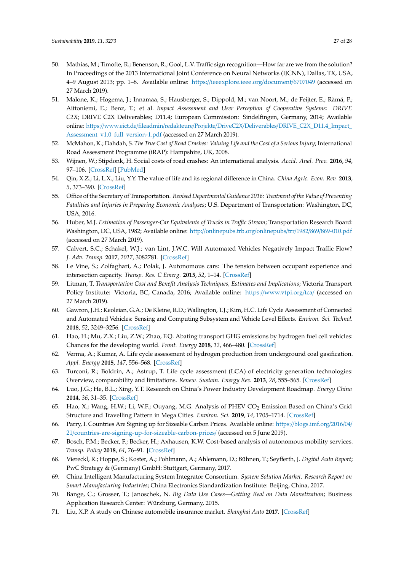- <span id="page-26-0"></span>50. Mathias, M.; Timofte, R.; Benenson, R.; Gool, L.V. Traffic sign recognition—How far are we from the solution? In Proceedings of the 2013 International Joint Conference on Neural Networks (IJCNN), Dallas, TX, USA, 4–9 August 2013; pp. 1–8. Available online: https://[ieeexplore.ieee.org](https://ieeexplore.ieee.org/document/6707049)/document/6707049 (accessed on 27 March 2019).
- <span id="page-26-1"></span>51. Malone, K.; Hogema, J.; Innamaa, S.; Hausberger, S.; Dippold, M.; van Noort, M.; de Feijter, E.; Rämä, P.; Aittoniemi, E.; Benz, T.; et al. *Impact Assessment and User Perception of Cooperative Systems: DRIVE C2X*; DRIVE C2X Deliverables; D11.4; European Commission: Sindelfingen, Germany, 2014; Available online: https://www.eict.de/fileadmin/redakteure/Projekte/DriveC2X/Deliverables/[DRIVE\\_C2X\\_D11.4\\_Impact\\_](https://www.eict.de/fileadmin/redakteure/Projekte/DriveC2X/Deliverables/DRIVE_C2X_D11.4_Impact_Assessment_v1.0_full_version-1.pdf) [Assessment\\_v1.0\\_full\\_version-1.pdf](https://www.eict.de/fileadmin/redakteure/Projekte/DriveC2X/Deliverables/DRIVE_C2X_D11.4_Impact_Assessment_v1.0_full_version-1.pdf) (accessed on 27 March 2019).
- <span id="page-26-2"></span>52. McMahon, K.; Dahdah, S. *The True Cost of Road Crashes: Valuing Life and the Cost of a Serious Injury*; International Road Assessment Programme (iRAP): Hampshire, UK, 2008.
- <span id="page-26-3"></span>53. Wijnen, W.; Stipdonk, H. Social costs of road crashes: An international analysis. *Accid. Anal. Prev.* **2016**, *94*, 97–106. [\[CrossRef\]](http://dx.doi.org/10.1016/j.aap.2016.05.005) [\[PubMed\]](http://www.ncbi.nlm.nih.gov/pubmed/27269998)
- 54. Qin, X.Z.; Li, L.X.; Liu, Y.Y. The value of life and its regional difference in China. *China Agric. Econ. Rev.* **2013**, *5*, 373–390. [\[CrossRef\]](http://dx.doi.org/10.1108/CAER-06-2011-0065)
- <span id="page-26-4"></span>55. Office of the Secretary of Transportation. *Revised Departmental Guidance 2016: Treatment of the Value of Preventing Fatalities and Injuries in Preparing Economic Analyses*; U.S. Department of Transportation: Washington, DC, USA, 2016.
- <span id="page-26-5"></span>56. Huber, M.J. *Estimation of Passenger-Car Equivalents of Trucks in Tra*ffi*c Stream*; Transportation Research Board: Washington, DC, USA, 1982; Available online: http://[onlinepubs.trb.org](http://onlinepubs.trb.org/onlinepubs/trr/1982/869/869-010.pdf)/onlinepubs/trr/1982/869/869-010.pdf (accessed on 27 March 2019).
- <span id="page-26-6"></span>57. Calvert, S.C.; Schakel, W.J.; van Lint, J.W.C. Will Automated Vehicles Negatively Impact Traffic Flow? *J. Adv. Transp.* **2017**, *2017*, 3082781. [\[CrossRef\]](http://dx.doi.org/10.1155/2017/3082781)
- <span id="page-26-7"></span>58. Le Vine, S.; Zolfaghari, A.; Polak, J. Autonomous cars: The tension between occupant experience and intersection capacity. *Transp. Res. C Emerg.* **2015**, *52*, 1–14. [\[CrossRef\]](http://dx.doi.org/10.1016/j.trc.2015.01.002)
- <span id="page-26-8"></span>59. Litman, T. *Transportation Cost and Benefit Analysis Techniques, Estimates and Implications*; Victoria Transport Policy Institute: Victoria, BC, Canada, 2016; Available online: https://[www.vtpi.org](https://www.vtpi.org/tca/)/tca/ (accessed on 27 March 2019).
- <span id="page-26-9"></span>60. Gawron, J.H.; Keoleian, G.A.; De Kleine, R.D.; Wallington, T.J.; Kim, H.C. Life Cycle Assessment of Connected and Automated Vehicles: Sensing and Computing Subsystem and Vehicle Level Effects. *Environ. Sci. Technol.* **2018**, *52*, 3249–3256. [\[CrossRef\]](http://dx.doi.org/10.1021/acs.est.7b04576)
- <span id="page-26-10"></span>61. Hao, H.; Mu, Z.X.; Liu, Z.W.; Zhao, F.Q. Abating transport GHG emissions by hydrogen fuel cell vehicles: Chances for the developing world. *Front. Energy* **2018**, *12*, 466–480. [\[CrossRef\]](http://dx.doi.org/10.1007/s11708-018-0561-3)
- <span id="page-26-11"></span>62. Verma, A.; Kumar, A. Life cycle assessment of hydrogen production from underground coal gasification. *Appl. Energy* **2015**, *147*, 556–568. [\[CrossRef\]](http://dx.doi.org/10.1016/j.apenergy.2015.03.009)
- <span id="page-26-12"></span>63. Turconi, R.; Boldrin, A.; Astrup, T. Life cycle assessment (LCA) of electricity generation technologies: Overview, comparability and limitations. *Renew. Sustain. Energy Rev.* **2013**, *28*, 555–565. [\[CrossRef\]](http://dx.doi.org/10.1016/j.rser.2013.08.013)
- <span id="page-26-13"></span>64. Luo, J.G.; He, B.L.; Xing, Y.T. Research on China's Power Industry Development Roadmap. *Energy China* **2014**, *36*, 31–35. [\[CrossRef\]](http://dx.doi.org/10.3969/j.issn.1003-2355.2014.06.006)
- <span id="page-26-14"></span>65. Hao, X.; Wang, H.W.; Li, W.F.; Ouyang, M.G. Analysis of PHEV CO<sub>2</sub> Emission Based on China's Grid Structure and Travelling Pattern in Mega Cities. *Environ. Sci.* **2019**, *14*, 1705–1714. [\[CrossRef\]](http://dx.doi.org/10.13227/j.hjkx.201806058)
- <span id="page-26-15"></span>66. Parry, I. Countries Are Signing up for Sizeable Carbon Prices. Available online: https://[blogs.imf.org](https://blogs.imf.org/2016/04/21/countries-are-signing-up-for-sizeable-carbon-prices/)/2016/04/ 21/[countries-are-signing-up-for-sizeable-carbon-prices](https://blogs.imf.org/2016/04/21/countries-are-signing-up-for-sizeable-carbon-prices/)/ (accessed on 5 June 2019).
- <span id="page-26-19"></span>67. Bosch, P.M.; Becker, F.; Becker, H.; Axhausen, K.W. Cost-based analysis of autonomous mobility services. *Transp. Policy* **2018**, *64*, 76–91. [\[CrossRef\]](http://dx.doi.org/10.1016/j.tranpol.2017.09.005)
- <span id="page-26-16"></span>68. Viereckl, R.; Hoppe, S.; Koster, A.; Pohlmann, A.; Ahlemann, D.; Bühnen, T.; Seyfferth, J. *Digital Auto Report*; PwC Strategy & (Germany) GmbH: Stuttgart, Germany, 2017.
- <span id="page-26-17"></span>69. China Intelligent Manufacturing System Integrator Consortium. *System Solution Market. Research Report on Smart Manufacturing Industries*; China Electronics Standardization Institute: Beijing, China, 2017.
- <span id="page-26-18"></span>70. Bange, C.; Grosser, T.; Janoschek, N. *Big Data Use Cases—Getting Real on Data Monetization*; Business Application Research Center: Würzburg, Germany, 2015.
- <span id="page-26-20"></span>71. Liu, X.P. A study on Chinese automobile insurance market. *Shanghai Auto* **2017**. [\[CrossRef\]](http://dx.doi.org/10.3969/j.issn.1007-4554.2017.06.10)